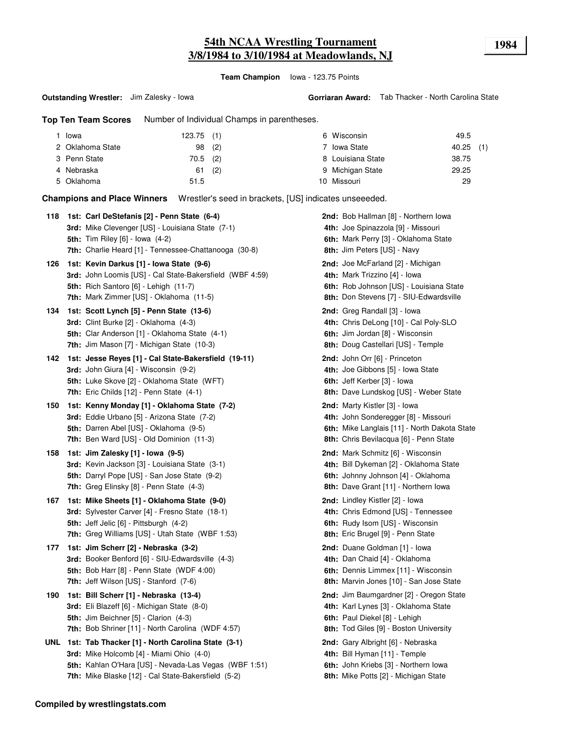# **54th NCAA Wrestling Tournament 1984 3/8/1984 to 3/10/1984 at Meadowlands, NJ**

**Team Champion** Iowa - 123.75 Points

**Outstanding Wrestler:** Jim Zalesky - Iowa

**Top Ten Team Scores** Number of Individual Champs in parentheses.

| Iowa             | $123.75$ (1) |     | 6 Wisconsin       | 49.5      |  |
|------------------|--------------|-----|-------------------|-----------|--|
| 2 Oklahoma State | $98$ (2)     |     | Iowa State        | 40.25 (1) |  |
| 3 Penn State     | 70.5 (2)     |     | 8 Louisiana State | 38.75     |  |
| 4 Nebraska       | 61           | (2) | 9 Michigan State  | 29.25     |  |
| 5 Oklahoma       | 51.5         |     | 10 Missouri       | 29        |  |

**Champions and Place Winners** Wrestler's seed in brackets, [US] indicates unseeeded.

| 118 | 1st: Carl DeStefanis [2] - Penn State (6-4)<br>3rd: Mike Clevenger [US] - Louisiana State (7-1)<br><b>5th:</b> Tim Riley [6] - Iowa (4-2)<br><b>7th:</b> Charlie Heard [1] - Tennessee-Chattanooga (30-8)         | <b>2nd:</b> Bob Hallman [8] - Northern Iowa<br>4th: Joe Spinazzola [9] - Missouri<br>6th: Mark Perry [3] - Oklahoma State<br><b>8th: Jim Peters [US] - Navy</b>        |
|-----|-------------------------------------------------------------------------------------------------------------------------------------------------------------------------------------------------------------------|------------------------------------------------------------------------------------------------------------------------------------------------------------------------|
| 126 | 1st: Kevin Darkus [1] - Iowa State (9-6)<br>3rd: John Loomis [US] - Cal State-Bakersfield (WBF 4:59)<br>5th: Rich Santoro [6] - Lehigh (11-7)<br>7th: Mark Zimmer [US] - Oklahoma (11-5)                          | 2nd: Joe McFarland [2] - Michigan<br>4th: Mark Trizzino [4] - lowa<br>6th: Rob Johnson [US] - Louisiana State<br>8th: Don Stevens [7] - SIU-Edwardsville               |
| 134 | 1st: Scott Lynch [5] - Penn State (13-6)<br><b>3rd:</b> Clint Burke $[2]$ - Oklahoma $(4-3)$<br>5th: Clar Anderson [1] - Oklahoma State (4-1)<br>7th: Jim Mason [7] - Michigan State (10-3)                       | 2nd: Greg Randall [3] - Iowa<br>4th: Chris DeLong [10] - Cal Poly-SLO<br>6th: Jim Jordan [8] - Wisconsin<br>8th: Doug Castellari [US] - Temple                         |
| 142 | 1st: Jesse Reyes [1] - Cal State-Bakersfield (19-11)<br>3rd: John Giura [4] - Wisconsin (9-2)<br>5th: Luke Skove [2] - Oklahoma State (WFT)<br>7th: Eric Childs [12] - Penn State (4-1)                           | 2nd: John Orr [6] - Princeton<br>4th: Joe Gibbons [5] - Iowa State<br>6th: Jeff Kerber [3] - Iowa<br>8th: Dave Lundskog [US] - Weber State                             |
| 150 | 1st: Kenny Monday [1] - Oklahoma State (7-2)<br>3rd: Eddie Urbano [5] - Arizona State (7-2)<br>5th: Darren Abel [US] - Oklahoma (9-5)<br><b>7th:</b> Ben Ward [US] - Old Dominion (11-3)                          | 2nd: Marty Kistler [3] - Iowa<br>4th: John Sonderegger [8] - Missouri<br>6th: Mike Langlais [11] - North Dakota State<br><b>8th:</b> Chris Bevilacqua [6] - Penn State |
| 158 | 1st: Jim Zalesky [1] - Iowa (9-5)<br><b>3rd:</b> Kevin Jackson [3] - Louisiana State (3-1)<br>5th: Darryl Pope [US] - San Jose State (9-2)<br>7th: Greg Elinsky [8] - Penn State (4-3)                            | <b>2nd:</b> Mark Schmitz [6] - Wisconsin<br>4th: Bill Dykeman [2] - Oklahoma State<br>6th: Johnny Johnson [4] - Oklahoma<br>8th: Dave Grant [11] - Northern Iowa       |
| 167 | 1st: Mike Sheets [1] - Oklahoma State (9-0)<br>3rd: Sylvester Carver [4] - Fresno State (18-1)<br>5th: Jeff Jelic [6] - Pittsburgh (4-2)<br><b>7th:</b> Greg Williams [US] - Utah State (WBF 1:53)                | <b>2nd:</b> Lindley Kistler [2] - Iowa<br>4th: Chris Edmond [US] - Tennessee<br>6th: Rudy Isom [US] - Wisconsin<br>8th: Eric Brugel [9] - Penn State                   |
| 177 | 1st: Jim Scherr [2] - Nebraska (3-2)<br>3rd: Booker Benford [6] - SIU-Edwardsville (4-3)<br><b>5th: Bob Harr [8] - Penn State (WDF 4:00)</b><br>7th: Jeff Wilson [US] - Stanford (7-6)                            | 2nd: Duane Goldman [1] - lowa<br>4th: Dan Chaid [4] - Oklahoma<br>6th: Dennis Limmex [11] - Wisconsin<br>8th: Marvin Jones [10] - San Jose State                       |
| 190 | 1st: Bill Scherr [1] - Nebraska (13-4)<br><b>3rd:</b> Eli Blazeff [6] - Michigan State (8-0)<br>5th: Jim Beichner [5] - Clarion (4-3)<br>7th: Bob Shriner [11] - North Carolina (WDF 4:57)                        | 2nd: Jim Baumgardner [2] - Oregon State<br>4th: Karl Lynes [3] - Oklahoma State<br>6th: Paul Diekel [8] - Lehigh<br>8th: Tod Giles [9] - Boston University             |
|     | UNL 1st: Tab Thacker [1] - North Carolina State (3-1)<br>3rd: Mike Holcomb [4] - Miami Ohio (4-0)<br>5th: Kahlan O'Hara [US] - Nevada-Las Vegas (WBF 1:51)<br>7th: Mike Blaske [12] - Cal State-Bakersfield (5-2) | 2nd: Gary Albright [6] - Nebraska<br>4th: Bill Hyman [11] - Temple<br>6th: John Kriebs [3] - Northern Iowa<br><b>8th:</b> Mike Potts [2] - Michigan State              |

**Compiled by wrestlingstats.com**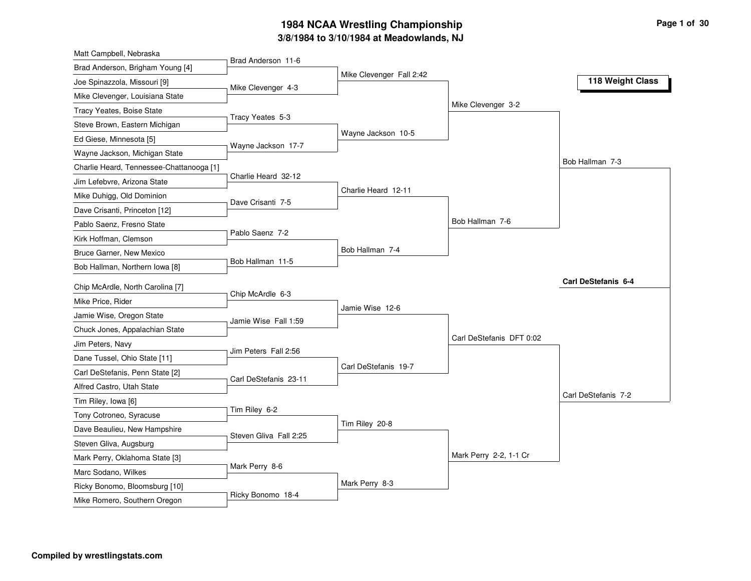### **3/8/1984 to 3/10/1984 at Meadowlands, NJ 1984 NCAA Wrestling Championship Page <sup>1</sup> of <sup>30</sup>**

| Matt Campbell, Nebraska                  |                        |                          |                          |                     |
|------------------------------------------|------------------------|--------------------------|--------------------------|---------------------|
| Brad Anderson, Brigham Young [4]         | Brad Anderson 11-6     |                          |                          |                     |
| Joe Spinazzola, Missouri [9]             | Mike Clevenger 4-3     | Mike Clevenger Fall 2:42 |                          | 118 Weight Class    |
| Mike Clevenger, Louisiana State          |                        |                          |                          |                     |
| Tracy Yeates, Boise State                |                        |                          | Mike Clevenger 3-2       |                     |
| Steve Brown, Eastern Michigan            | Tracy Yeates 5-3       |                          |                          |                     |
| Ed Giese, Minnesota [5]                  |                        | Wayne Jackson 10-5       |                          |                     |
| Wayne Jackson, Michigan State            | Wayne Jackson 17-7     |                          |                          |                     |
| Charlie Heard, Tennessee-Chattanooga [1] |                        |                          |                          | Bob Hallman 7-3     |
| Jim Lefebvre, Arizona State              | Charlie Heard 32-12    |                          |                          |                     |
| Mike Duhigg, Old Dominion                | Dave Crisanti 7-5      | Charlie Heard 12-11      |                          |                     |
| Dave Crisanti, Princeton [12]            |                        |                          |                          |                     |
| Pablo Saenz, Fresno State                |                        |                          | Bob Hallman 7-6          |                     |
| Kirk Hoffman, Clemson                    | Pablo Saenz 7-2        |                          |                          |                     |
| Bruce Garner, New Mexico                 |                        | Bob Hallman 7-4          |                          |                     |
| Bob Hallman, Northern Iowa [8]           | Bob Hallman 11-5       |                          |                          |                     |
| Chip McArdle, North Carolina [7]         |                        |                          |                          | Carl DeStefanis 6-4 |
| Mike Price, Rider                        | Chip McArdle 6-3       |                          |                          |                     |
| Jamie Wise, Oregon State                 |                        | Jamie Wise 12-6          |                          |                     |
| Chuck Jones, Appalachian State           | Jamie Wise Fall 1:59   |                          |                          |                     |
| Jim Peters, Navy                         |                        |                          | Carl DeStefanis DFT 0:02 |                     |
| Dane Tussel, Ohio State [11]             | Jim Peters Fall 2:56   |                          |                          |                     |
| Carl DeStefanis, Penn State [2]          |                        | Carl DeStefanis 19-7     |                          |                     |
| Alfred Castro, Utah State                | Carl DeStefanis 23-11  |                          |                          |                     |
| Tim Riley, Iowa [6]                      |                        |                          |                          | Carl DeStefanis 7-2 |
| Tony Cotroneo, Syracuse                  | Tim Riley 6-2          |                          |                          |                     |
| Dave Beaulieu, New Hampshire             |                        | Tim Riley 20-8           |                          |                     |
| Steven Gliva, Augsburg                   | Steven Gliva Fall 2:25 |                          |                          |                     |
| Mark Perry, Oklahoma State [3]           |                        |                          | Mark Perry 2-2, 1-1 Cr   |                     |
| Marc Sodano, Wilkes                      | Mark Perry 8-6         |                          |                          |                     |
|                                          |                        |                          |                          |                     |
| Ricky Bonomo, Bloomsburg [10]            |                        | Mark Perry 8-3           |                          |                     |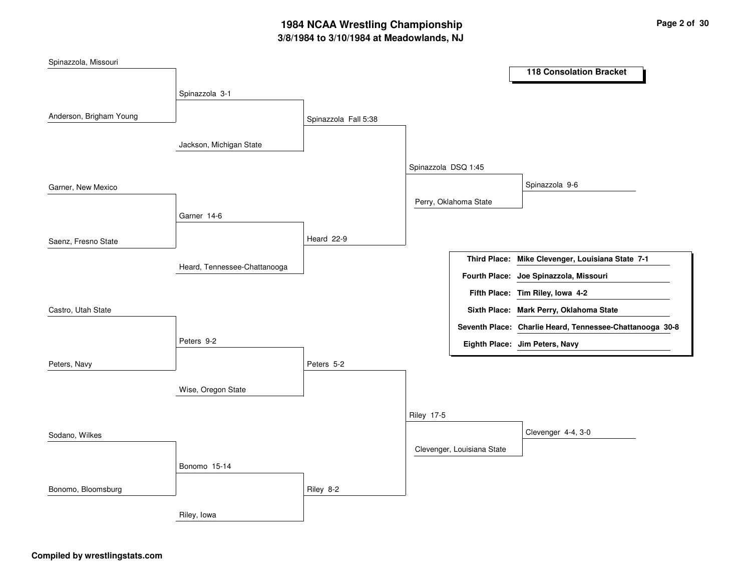## **3/8/1984 to 3/10/1984 at Meadowlands, NJ 1984 NCAA Wrestling Championship Page <sup>2</sup> of <sup>30</sup>**

| Spinazzola, Missouri    |                              |                      |                     |                            |                                                          |
|-------------------------|------------------------------|----------------------|---------------------|----------------------------|----------------------------------------------------------|
|                         |                              |                      |                     |                            | <b>118 Consolation Bracket</b>                           |
|                         | Spinazzola 3-1               |                      |                     |                            |                                                          |
| Anderson, Brigham Young |                              |                      |                     |                            |                                                          |
|                         |                              | Spinazzola Fall 5:38 |                     |                            |                                                          |
|                         | Jackson, Michigan State      |                      |                     |                            |                                                          |
|                         |                              |                      | Spinazzola DSQ 1:45 |                            |                                                          |
| Garner, New Mexico      |                              |                      |                     |                            | Spinazzola 9-6                                           |
|                         |                              |                      |                     | Perry, Oklahoma State      |                                                          |
|                         | Garner 14-6                  |                      |                     |                            |                                                          |
| Saenz, Fresno State     |                              | Heard 22-9           |                     |                            |                                                          |
|                         |                              |                      |                     |                            | Third Place: Mike Clevenger, Louisiana State 7-1         |
|                         | Heard, Tennessee-Chattanooga |                      |                     |                            | Fourth Place: Joe Spinazzola, Missouri                   |
|                         |                              |                      |                     |                            | Fifth Place: Tim Riley, Iowa 4-2                         |
| Castro, Utah State      |                              |                      |                     |                            | Sixth Place: Mark Perry, Oklahoma State                  |
|                         |                              |                      |                     |                            | Seventh Place: Charlie Heard, Tennessee-Chattanooga 30-8 |
|                         | Peters 9-2                   |                      |                     |                            | Eighth Place: Jim Peters, Navy                           |
| Peters, Navy            |                              | Peters 5-2           |                     |                            |                                                          |
|                         |                              |                      |                     |                            |                                                          |
|                         | Wise, Oregon State           |                      |                     |                            |                                                          |
|                         |                              |                      | <b>Riley 17-5</b>   |                            |                                                          |
| Sodano, Wilkes          |                              |                      |                     |                            | Clevenger 4-4, 3-0                                       |
|                         |                              |                      |                     | Clevenger, Louisiana State |                                                          |
|                         | Bonomo 15-14                 |                      |                     |                            |                                                          |
| Bonomo, Bloomsburg      |                              | Riley 8-2            |                     |                            |                                                          |
|                         | Riley, Iowa                  |                      |                     |                            |                                                          |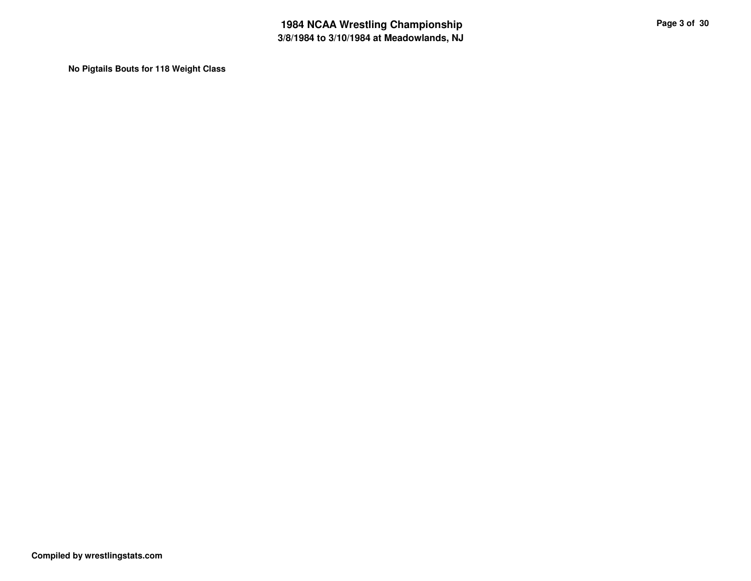**No Pigtails Bouts for 118 Weight Class**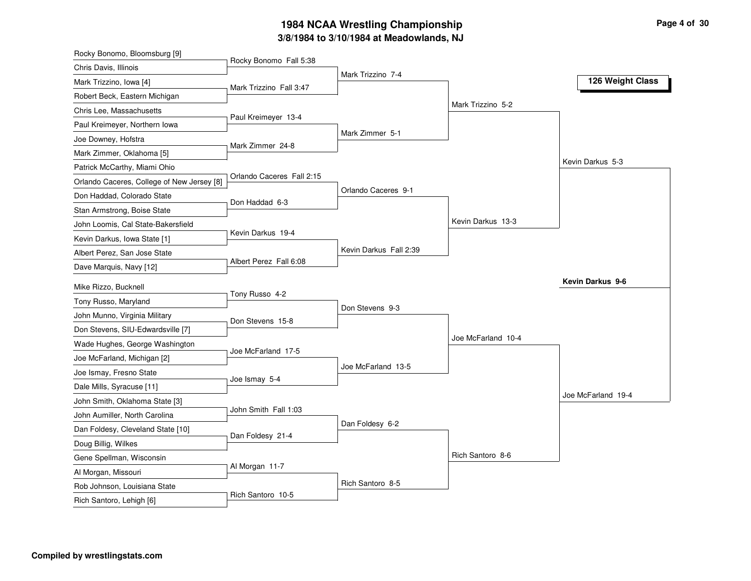### **3/8/1984 to 3/10/1984 at Meadowlands, NJ 1984 NCAA Wrestling Championship Page <sup>4</sup> of <sup>30</sup>**

| Rocky Bonomo, Bloomsburg [9]                           |                           |                        |                    |                    |
|--------------------------------------------------------|---------------------------|------------------------|--------------------|--------------------|
| Chris Davis, Illinois                                  | Rocky Bonomo Fall 5:38    |                        |                    |                    |
| Mark Trizzino, Iowa [4]                                | Mark Trizzino Fall 3:47   | Mark Trizzino 7-4      |                    | 126 Weight Class   |
| Robert Beck, Eastern Michigan                          |                           |                        |                    |                    |
| Chris Lee, Massachusetts                               |                           |                        | Mark Trizzino 5-2  |                    |
| Paul Kreimeyer, Northern Iowa                          | Paul Kreimeyer 13-4       |                        |                    |                    |
| Joe Downey, Hofstra                                    |                           | Mark Zimmer 5-1        |                    |                    |
| Mark Zimmer, Oklahoma [5]                              | Mark Zimmer 24-8          |                        |                    |                    |
| Patrick McCarthy, Miami Ohio                           |                           |                        |                    | Kevin Darkus 5-3   |
| Orlando Caceres, College of New Jersey [8]             | Orlando Caceres Fall 2:15 |                        |                    |                    |
| Don Haddad, Colorado State                             |                           | Orlando Caceres 9-1    |                    |                    |
| Stan Armstrong, Boise State                            | Don Haddad 6-3            |                        |                    |                    |
| John Loomis, Cal State-Bakersfield                     |                           |                        | Kevin Darkus 13-3  |                    |
| Kevin Darkus, Iowa State [1]                           | Kevin Darkus 19-4         |                        |                    |                    |
| Albert Perez, San Jose State                           |                           | Kevin Darkus Fall 2:39 |                    |                    |
| Dave Marquis, Navy [12]                                | Albert Perez Fall 6:08    |                        |                    |                    |
| Mike Rizzo, Bucknell                                   |                           |                        |                    | Kevin Darkus 9-6   |
| Tony Russo, Maryland                                   | Tony Russo 4-2            |                        |                    |                    |
| John Munno, Virginia Military                          |                           | Don Stevens 9-3        |                    |                    |
| Don Stevens, SIU-Edwardsville [7]                      | Don Stevens 15-8          |                        |                    |                    |
| Wade Hughes, George Washington                         |                           |                        | Joe McFarland 10-4 |                    |
|                                                        | Joe McFarland 17-5        |                        |                    |                    |
| Joe McFarland, Michigan [2]<br>Joe Ismay, Fresno State |                           | Joe McFarland 13-5     |                    |                    |
| Dale Mills, Syracuse [11]                              | Joe Ismay 5-4             |                        |                    |                    |
| John Smith, Oklahoma State [3]                         |                           |                        |                    | Joe McFarland 19-4 |
| John Aumiller, North Carolina                          | John Smith Fall 1:03      |                        |                    |                    |
| Dan Foldesy, Cleveland State [10]                      |                           | Dan Foldesy 6-2        |                    |                    |
| Doug Billig, Wilkes                                    | Dan Foldesy 21-4          |                        |                    |                    |
| Gene Spellman, Wisconsin                               |                           |                        | Rich Santoro 8-6   |                    |
| Al Morgan, Missouri                                    | Al Morgan 11-7            |                        |                    |                    |
| Rob Johnson, Louisiana State                           |                           | Rich Santoro 8-5       |                    |                    |
|                                                        |                           |                        |                    |                    |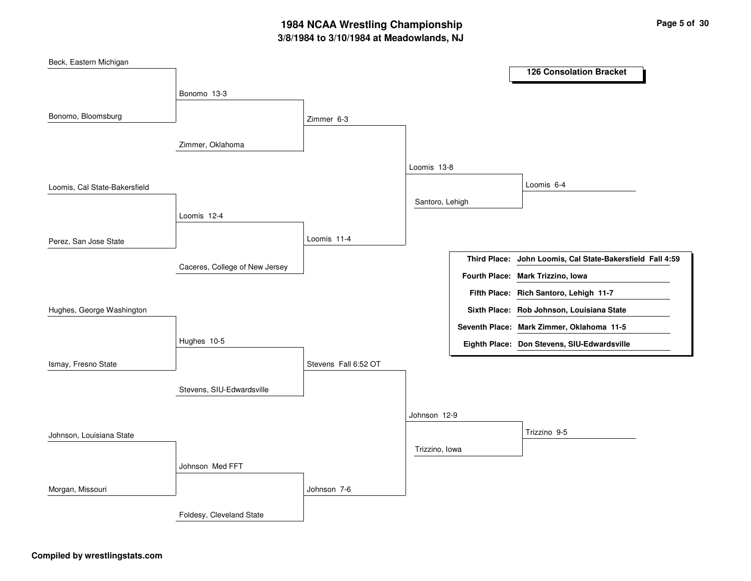## **3/8/1984 to 3/10/1984 at Meadowlands, NJ 1984 NCAA Wrestling Championship Page <sup>5</sup> of <sup>30</sup>**

| Beck, Eastern Michigan        |                                |                      |                 | <b>126 Consolation Bracket</b>                            |
|-------------------------------|--------------------------------|----------------------|-----------------|-----------------------------------------------------------|
|                               |                                |                      |                 |                                                           |
|                               | Bonomo 13-3                    |                      |                 |                                                           |
| Bonomo, Bloomsburg            |                                | Zimmer 6-3           |                 |                                                           |
|                               | Zimmer, Oklahoma               |                      |                 |                                                           |
|                               |                                |                      | Loomis 13-8     |                                                           |
| Loomis, Cal State-Bakersfield |                                |                      |                 | Loomis 6-4                                                |
|                               | Loomis 12-4                    |                      | Santoro, Lehigh |                                                           |
|                               |                                |                      |                 |                                                           |
| Perez, San Jose State         |                                | Loomis 11-4          |                 |                                                           |
|                               | Caceres, College of New Jersey |                      |                 | Third Place: John Loomis, Cal State-Bakersfield Fall 4:59 |
|                               |                                |                      |                 | Fourth Place: Mark Trizzino, Iowa                         |
|                               |                                |                      |                 | Fifth Place: Rich Santoro, Lehigh 11-7                    |
| Hughes, George Washington     |                                |                      |                 | Sixth Place: Rob Johnson, Louisiana State                 |
|                               |                                |                      |                 | Seventh Place: Mark Zimmer, Oklahoma 11-5                 |
|                               | Hughes 10-5                    |                      |                 | Eighth Place: Don Stevens, SIU-Edwardsville               |
| Ismay, Fresno State           |                                | Stevens Fall 6:52 OT |                 |                                                           |
|                               | Stevens, SIU-Edwardsville      |                      |                 |                                                           |
|                               |                                |                      |                 |                                                           |
|                               |                                |                      | Johnson 12-9    |                                                           |
| Johnson, Louisiana State      |                                |                      |                 | Trizzino 9-5                                              |
|                               |                                |                      | Trizzino, Iowa  |                                                           |
|                               | Johnson Med FFT                |                      |                 |                                                           |
| Morgan, Missouri              |                                | Johnson 7-6          |                 |                                                           |
|                               | Foldesy, Cleveland State       |                      |                 |                                                           |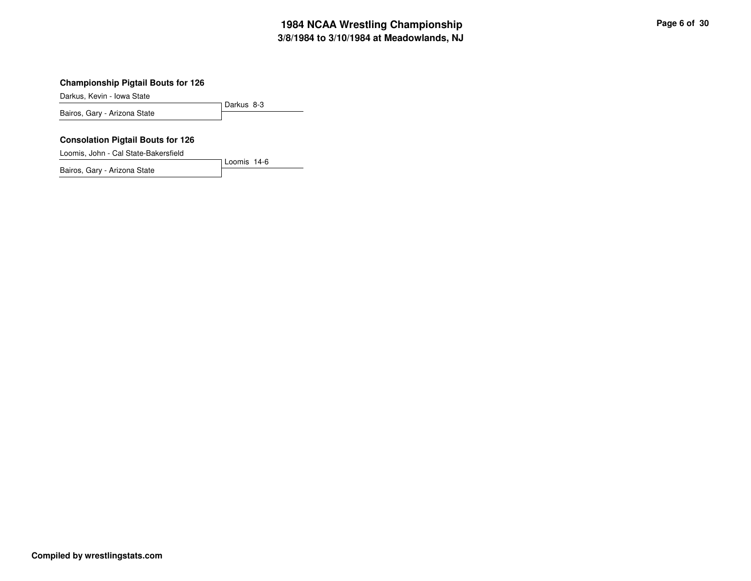## **3/8/1984 to 3/10/1984 at Meadowlands, NJ 1984 NCAA Wrestling Championship Page <sup>6</sup> of <sup>30</sup>**

#### **Championship Pigtail Bouts for 126**

Darkus, Kevin - Iowa State

Darkus 8-3 Bairos, Gary - Arizona State

#### **Consolation Pigtail Bouts for 126**

Loomis, John - Cal State-Bakersfield

Bairos, Gary - Arizona State

Loomis 14-6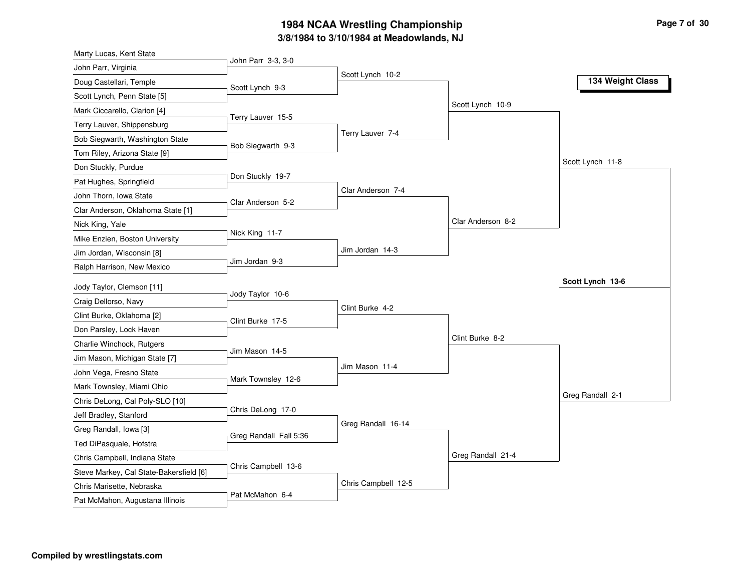### **3/8/19 8 4 to 3/10/19 8 4 at M e a d o wla n d s, N J** 1984 NCAA Wrestling Championship

| Marty Lucas, Kent State                 |                        |                     |                   |                  |
|-----------------------------------------|------------------------|---------------------|-------------------|------------------|
| John Parr, Virginia                     | John Parr 3-3, 3-0     |                     |                   |                  |
| Doug Castellari, Temple                 | Scott Lynch 9-3        | Scott Lynch 10-2    |                   | 134 Weight Class |
| Scott Lynch, Penn State [5]             |                        |                     |                   |                  |
| Mark Ciccarello, Clarion [4]            |                        |                     | Scott Lynch 10-9  |                  |
| Terry Lauver, Shippensburg              | Terry Lauver 15-5      |                     |                   |                  |
| Bob Siegwarth, Washington State         |                        | Terry Lauver 7-4    |                   |                  |
| Tom Riley, Arizona State [9]            | Bob Siegwarth 9-3      |                     |                   |                  |
| Don Stuckly, Purdue                     |                        |                     |                   | Scott Lynch 11-8 |
| Pat Hughes, Springfield                 | Don Stuckly 19-7       |                     |                   |                  |
| John Thorn, Iowa State                  |                        | Clar Anderson 7-4   |                   |                  |
| Clar Anderson, Oklahoma State [1]       | Clar Anderson 5-2      |                     |                   |                  |
| Nick King, Yale                         |                        |                     | Clar Anderson 8-2 |                  |
| Mike Enzien, Boston University          | Nick King 11-7         |                     |                   |                  |
| Jim Jordan, Wisconsin [8]               |                        | Jim Jordan 14-3     |                   |                  |
| Ralph Harrison, New Mexico              | Jim Jordan 9-3         |                     |                   |                  |
| Jody Taylor, Clemson [11]               |                        |                     |                   | Scott Lynch 13-6 |
| Craig Dellorso, Navy                    | Jody Taylor 10-6       |                     |                   |                  |
| Clint Burke, Oklahoma [2]               |                        | Clint Burke 4-2     |                   |                  |
| Don Parsley, Lock Haven                 | Clint Burke 17-5       |                     |                   |                  |
| Charlie Winchock, Rutgers               |                        |                     | Clint Burke 8-2   |                  |
| Jim Mason, Michigan State [7]           | Jim Mason 14-5         |                     |                   |                  |
| John Vega, Fresno State                 |                        | Jim Mason 11-4      |                   |                  |
| Mark Townsley, Miami Ohio               | Mark Townsley 12-6     |                     |                   |                  |
| Chris DeLong, Cal Poly-SLO [10]         |                        |                     |                   | Greg Randall 2-1 |
| Jeff Bradley, Stanford                  | Chris DeLong 17-0      |                     |                   |                  |
| Greg Randall, Iowa [3]                  |                        | Greg Randall 16-14  |                   |                  |
| Ted DiPasquale, Hofstra                 | Greg Randall Fall 5:36 |                     |                   |                  |
| Chris Campbell, Indiana State           |                        |                     | Greg Randall 21-4 |                  |
| Steve Markey, Cal State-Bakersfield [6] | Chris Campbell 13-6    |                     |                   |                  |
| Chris Marisette, Nebraska               |                        | Chris Campbell 12-5 |                   |                  |
|                                         |                        |                     |                   |                  |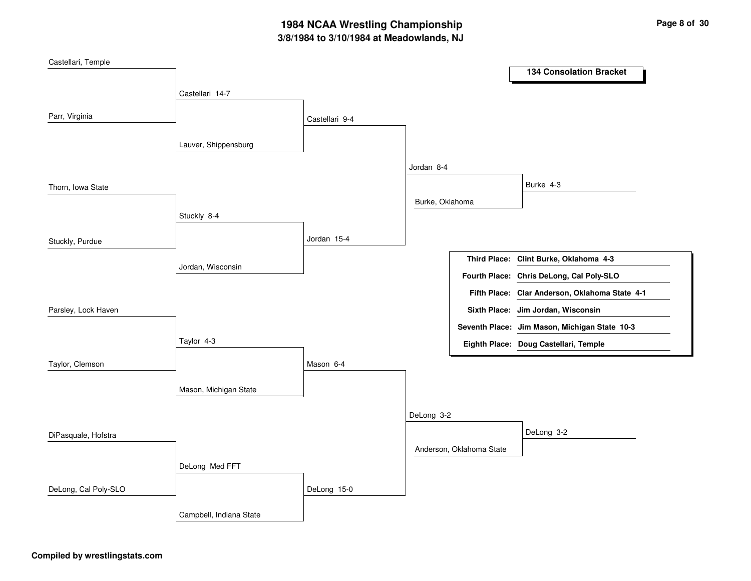## **3/8/1984 to 3/10/1984 at Meadowlands, NJ 1984 NCAA Wrestling Championship Page <sup>8</sup> of <sup>30</sup>**

| Castellari, Temple   |                         |                |                 |                          |                                                |
|----------------------|-------------------------|----------------|-----------------|--------------------------|------------------------------------------------|
|                      |                         |                |                 |                          | <b>134 Consolation Bracket</b>                 |
|                      | Castellari 14-7         |                |                 |                          |                                                |
|                      |                         |                |                 |                          |                                                |
| Parr, Virginia       |                         | Castellari 9-4 |                 |                          |                                                |
|                      |                         |                |                 |                          |                                                |
|                      | Lauver, Shippensburg    |                |                 |                          |                                                |
|                      |                         |                | Jordan 8-4      |                          |                                                |
|                      |                         |                |                 |                          | Burke 4-3                                      |
| Thorn, Iowa State    |                         |                | Burke, Oklahoma |                          |                                                |
|                      | Stuckly 8-4             |                |                 |                          |                                                |
|                      |                         |                |                 |                          |                                                |
| Stuckly, Purdue      |                         | Jordan 15-4    |                 |                          |                                                |
|                      |                         |                |                 |                          | Third Place: Clint Burke, Oklahoma 4-3         |
|                      | Jordan, Wisconsin       |                |                 |                          | Fourth Place: Chris DeLong, Cal Poly-SLO       |
|                      |                         |                |                 |                          |                                                |
|                      |                         |                |                 |                          | Fifth Place: Clar Anderson, Oklahoma State 4-1 |
| Parsley, Lock Haven  |                         |                |                 |                          | Sixth Place: Jim Jordan, Wisconsin             |
|                      |                         |                |                 |                          | Seventh Place: Jim Mason, Michigan State 10-3  |
|                      | Taylor 4-3              |                |                 |                          | Eighth Place: Doug Castellari, Temple          |
| Taylor, Clemson      |                         | Mason 6-4      |                 |                          |                                                |
|                      |                         |                |                 |                          |                                                |
|                      | Mason, Michigan State   |                |                 |                          |                                                |
|                      |                         |                |                 |                          |                                                |
|                      |                         |                | DeLong 3-2      |                          |                                                |
| DiPasquale, Hofstra  |                         |                |                 |                          | DeLong 3-2                                     |
|                      |                         |                |                 | Anderson, Oklahoma State |                                                |
|                      | DeLong Med FFT          |                |                 |                          |                                                |
|                      |                         |                |                 |                          |                                                |
| DeLong, Cal Poly-SLO |                         | DeLong 15-0    |                 |                          |                                                |
|                      | Campbell, Indiana State |                |                 |                          |                                                |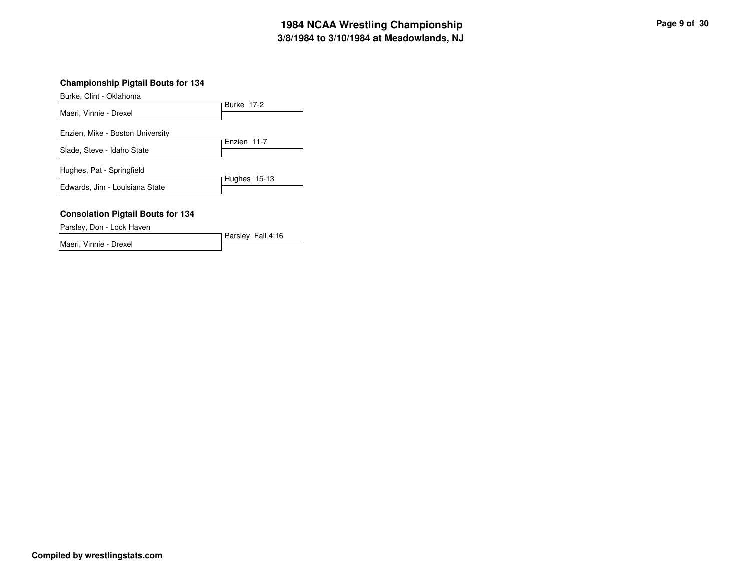## **3/8/1984 to 3/10/1984 at Meadowlands, NJ 1984 NCAA Wrestling Championship Page <sup>9</sup> of <sup>30</sup>**

### **Championship Pigtail Bouts for 134**

Burke, Clint - Oklahoma

|                                  | <b>Burke 17-2</b> |
|----------------------------------|-------------------|
| Maeri, Vinnie - Drexel           |                   |
| Enzien, Mike - Boston University |                   |
|                                  | Enzien 11-7       |
| Slade, Steve - Idaho State       |                   |
| Hughes, Pat - Springfield        |                   |
| Edwards, Jim - Louisiana State   | Hughes 15-13      |
|                                  |                   |

#### **Consolation Pigtail Bouts for 134**

Parsley, Don - Lock Haven

Parsley Fall 4:16 Maeri, Vinnie - Drexel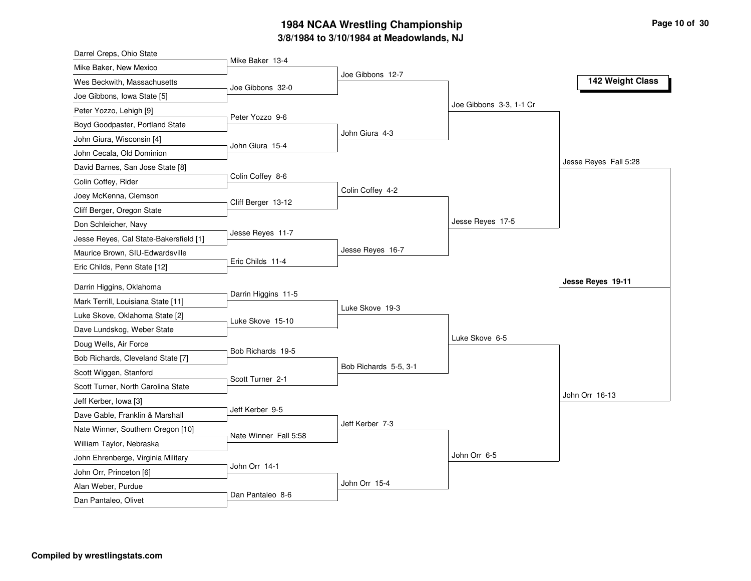### **3/8/1984 to 3/10/1984 at Meadowlands, NJ 1984 NCAA Wrestling Championship Page <sup>10</sup> of <sup>30</sup>**

| Darrel Creps, Ohio State               |                       |                       |                         |                       |
|----------------------------------------|-----------------------|-----------------------|-------------------------|-----------------------|
| Mike Baker, New Mexico                 | Mike Baker 13-4       |                       |                         |                       |
| Wes Beckwith, Massachusetts            | Joe Gibbons 32-0      | Joe Gibbons 12-7      |                         | 142 Weight Class      |
| Joe Gibbons, Iowa State [5]            |                       |                       |                         |                       |
| Peter Yozzo, Lehigh [9]                |                       |                       | Joe Gibbons 3-3, 1-1 Cr |                       |
| Boyd Goodpaster, Portland State        | Peter Yozzo 9-6       |                       |                         |                       |
| John Giura, Wisconsin [4]              |                       | John Giura 4-3        |                         |                       |
| John Cecala, Old Dominion              | John Giura 15-4       |                       |                         |                       |
| David Barnes, San Jose State [8]       |                       |                       |                         | Jesse Reyes Fall 5:28 |
| Colin Coffey, Rider                    | Colin Coffey 8-6      |                       |                         |                       |
| Joey McKenna, Clemson                  |                       | Colin Coffey 4-2      |                         |                       |
| Cliff Berger, Oregon State             | Cliff Berger 13-12    |                       |                         |                       |
| Don Schleicher, Navy                   |                       |                       | Jesse Reyes 17-5        |                       |
| Jesse Reyes, Cal State-Bakersfield [1] | Jesse Reyes 11-7      |                       |                         |                       |
| Maurice Brown, SIU-Edwardsville        |                       | Jesse Reyes 16-7      |                         |                       |
| Eric Childs, Penn State [12]           | Eric Childs 11-4      |                       |                         |                       |
| Darrin Higgins, Oklahoma               |                       |                       |                         | Jesse Reyes 19-11     |
| Mark Terrill, Louisiana State [11]     | Darrin Higgins 11-5   |                       |                         |                       |
| Luke Skove, Oklahoma State [2]         |                       | Luke Skove 19-3       |                         |                       |
| Dave Lundskog, Weber State             | Luke Skove 15-10      |                       |                         |                       |
| Doug Wells, Air Force                  |                       |                       | Luke Skove 6-5          |                       |
| Bob Richards, Cleveland State [7]      | Bob Richards 19-5     |                       |                         |                       |
| Scott Wiggen, Stanford                 |                       | Bob Richards 5-5, 3-1 |                         |                       |
| Scott Turner, North Carolina State     | Scott Turner 2-1      |                       |                         |                       |
| Jeff Kerber, Iowa [3]                  |                       |                       |                         | John Orr 16-13        |
| Dave Gable, Franklin & Marshall        | Jeff Kerber 9-5       |                       |                         |                       |
| Nate Winner, Southern Oregon [10]      |                       | Jeff Kerber 7-3       |                         |                       |
| William Taylor, Nebraska               | Nate Winner Fall 5:58 |                       |                         |                       |
| John Ehrenberge, Virginia Military     |                       |                       | John Orr 6-5            |                       |
| John Orr, Princeton [6]                | John Orr 14-1         |                       |                         |                       |
|                                        |                       |                       |                         |                       |
| Alan Weber, Purdue                     |                       | John Orr 15-4         |                         |                       |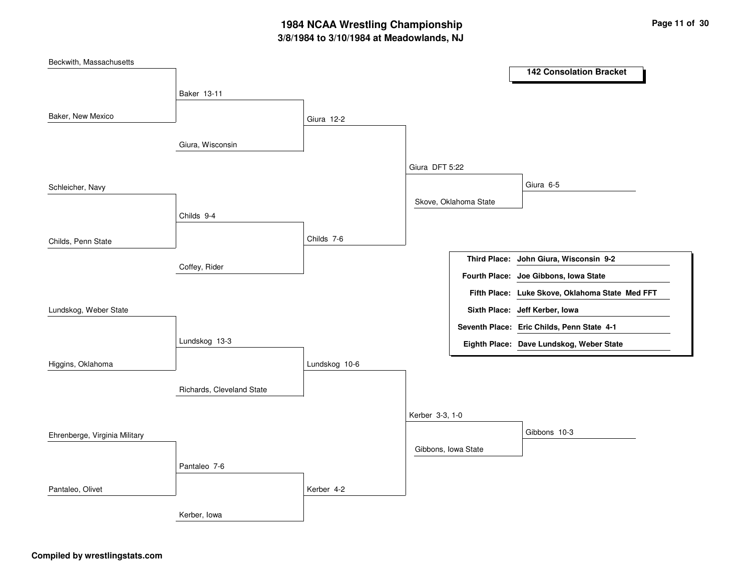## **3/8/1984 to 3/10/1984 at Meadowlands, NJ 1984 NCAA Wrestling Championship Page <sup>11</sup> of <sup>30</sup>**

| Beckwith, Massachusetts       |                           |               |                     |                       |                                                 |
|-------------------------------|---------------------------|---------------|---------------------|-----------------------|-------------------------------------------------|
|                               |                           |               |                     |                       | <b>142 Consolation Bracket</b>                  |
|                               | Baker 13-11               |               |                     |                       |                                                 |
|                               |                           |               |                     |                       |                                                 |
| Baker, New Mexico             |                           | Giura 12-2    |                     |                       |                                                 |
|                               |                           |               |                     |                       |                                                 |
|                               | Giura, Wisconsin          |               |                     |                       |                                                 |
|                               |                           |               | Giura DFT 5:22      |                       |                                                 |
| Schleicher, Navy              |                           |               |                     |                       | Giura 6-5                                       |
|                               |                           |               |                     | Skove, Oklahoma State |                                                 |
|                               | Childs 9-4                |               |                     |                       |                                                 |
|                               |                           |               |                     |                       |                                                 |
| Childs, Penn State            |                           | Childs 7-6    |                     |                       |                                                 |
|                               |                           |               |                     |                       | Third Place: John Giura, Wisconsin 9-2          |
|                               | Coffey, Rider             |               |                     |                       | Fourth Place: Joe Gibbons, Iowa State           |
|                               |                           |               |                     |                       | Fifth Place: Luke Skove, Oklahoma State Med FFT |
| Lundskog, Weber State         |                           |               |                     |                       | Sixth Place: Jeff Kerber, Iowa                  |
|                               |                           |               |                     |                       | Seventh Place: Eric Childs, Penn State 4-1      |
|                               | Lundskog 13-3             |               |                     |                       | Eighth Place: Dave Lundskog, Weber State        |
|                               |                           |               |                     |                       |                                                 |
| Higgins, Oklahoma             |                           | Lundskog 10-6 |                     |                       |                                                 |
|                               | Richards, Cleveland State |               |                     |                       |                                                 |
|                               |                           |               |                     |                       |                                                 |
|                               |                           |               | Kerber 3-3, 1-0     |                       |                                                 |
| Ehrenberge, Virginia Military |                           |               |                     |                       | Gibbons 10-3                                    |
|                               |                           |               | Gibbons, Iowa State |                       |                                                 |
|                               | Pantaleo 7-6              |               |                     |                       |                                                 |
|                               |                           |               |                     |                       |                                                 |
| Pantaleo, Olivet              |                           | Kerber 4-2    |                     |                       |                                                 |
|                               | Kerber, Iowa              |               |                     |                       |                                                 |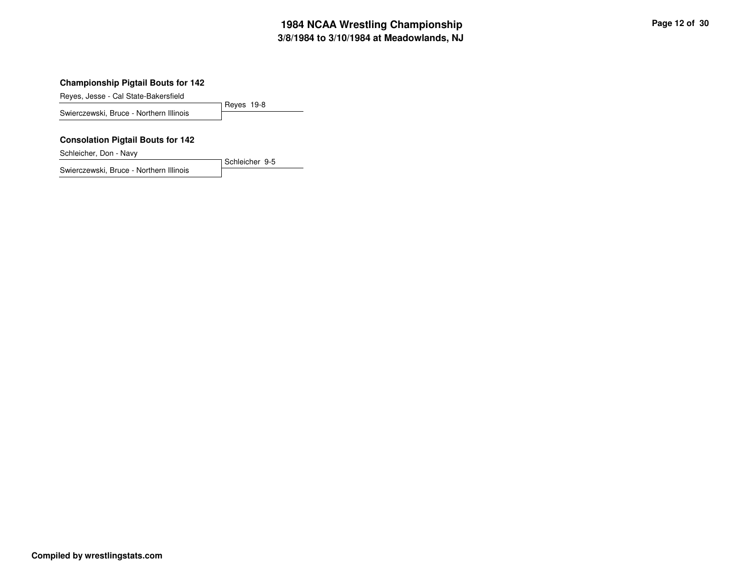## **3/8/1984 to 3/10/1984 at Meadowlands, NJ 1984 NCAA Wrestling Championship Page <sup>12</sup> of <sup>30</sup>**

### **Championship Pigtail Bouts for 142**

Reyes, Jesse - Cal State-Bakersfield

Reyes 19-8 Swierczewski, Bruce - Northern Illinois

#### **Consolation Pigtail Bouts for 142**

Schleicher, Don - Navy

Swierczewski, Bruce - Northern Illinois

Schleicher 9-5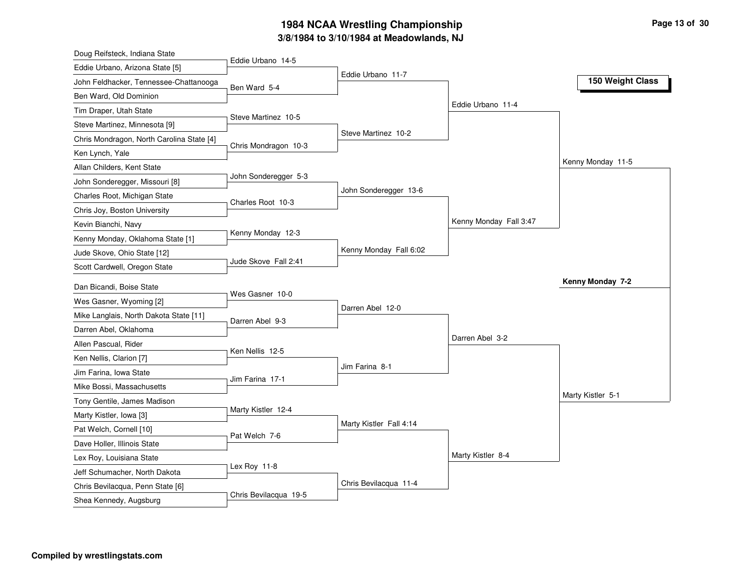### **3/8/1984 to 3/10/1984 at Meadowlands, NJ 1984 NCAA Wrestling Championship Page <sup>13</sup> of <sup>30</sup>**

| Doug Reifsteck, Indiana State             |                       |                         |                        |                   |
|-------------------------------------------|-----------------------|-------------------------|------------------------|-------------------|
| Eddie Urbano, Arizona State [5]           | Eddie Urbano 14-5     |                         |                        |                   |
| John Feldhacker, Tennessee-Chattanooga    | Ben Ward 5-4          | Eddie Urbano 11-7       |                        | 150 Weight Class  |
| Ben Ward, Old Dominion                    |                       |                         |                        |                   |
| Tim Draper, Utah State                    |                       |                         | Eddie Urbano 11-4      |                   |
| Steve Martinez, Minnesota [9]             | Steve Martinez 10-5   |                         |                        |                   |
| Chris Mondragon, North Carolina State [4] |                       | Steve Martinez 10-2     |                        |                   |
| Ken Lynch, Yale                           | Chris Mondragon 10-3  |                         |                        |                   |
| Allan Childers, Kent State                |                       |                         |                        | Kenny Monday 11-5 |
| John Sonderegger, Missouri [8]            | John Sonderegger 5-3  |                         |                        |                   |
| Charles Root, Michigan State              | Charles Root 10-3     | John Sonderegger 13-6   |                        |                   |
| Chris Joy, Boston University              |                       |                         |                        |                   |
| Kevin Bianchi, Navy                       |                       |                         | Kenny Monday Fall 3:47 |                   |
| Kenny Monday, Oklahoma State [1]          | Kenny Monday 12-3     |                         |                        |                   |
| Jude Skove, Ohio State [12]               |                       | Kenny Monday Fall 6:02  |                        |                   |
| Scott Cardwell, Oregon State              | Jude Skove Fall 2:41  |                         |                        |                   |
| Dan Bicandi, Boise State                  |                       |                         |                        | Kenny Monday 7-2  |
| Wes Gasner, Wyoming [2]                   | Wes Gasner 10-0       |                         |                        |                   |
| Mike Langlais, North Dakota State [11]    |                       | Darren Abel 12-0        |                        |                   |
| Darren Abel, Oklahoma                     | Darren Abel 9-3       |                         |                        |                   |
| Allen Pascual, Rider                      |                       |                         | Darren Abel 3-2        |                   |
| Ken Nellis, Clarion [7]                   | Ken Nellis 12-5       |                         |                        |                   |
| Jim Farina, Iowa State                    |                       | Jim Farina 8-1          |                        |                   |
| Mike Bossi, Massachusetts                 | Jim Farina 17-1       |                         |                        |                   |
| Tony Gentile, James Madison               |                       |                         |                        | Marty Kistler 5-1 |
| Marty Kistler, Iowa [3]                   | Marty Kistler 12-4    |                         |                        |                   |
| Pat Welch, Cornell [10]                   |                       | Marty Kistler Fall 4:14 |                        |                   |
| Dave Holler, Illinois State               | Pat Welch 7-6         |                         |                        |                   |
| Lex Roy, Louisiana State                  |                       |                         | Marty Kistler 8-4      |                   |
| Jeff Schumacher, North Dakota             | Lex Roy 11-8          |                         |                        |                   |
| Chris Bevilacqua, Penn State [6]          |                       | Chris Bevilacqua 11-4   |                        |                   |
|                                           | Chris Bevilacqua 19-5 |                         |                        |                   |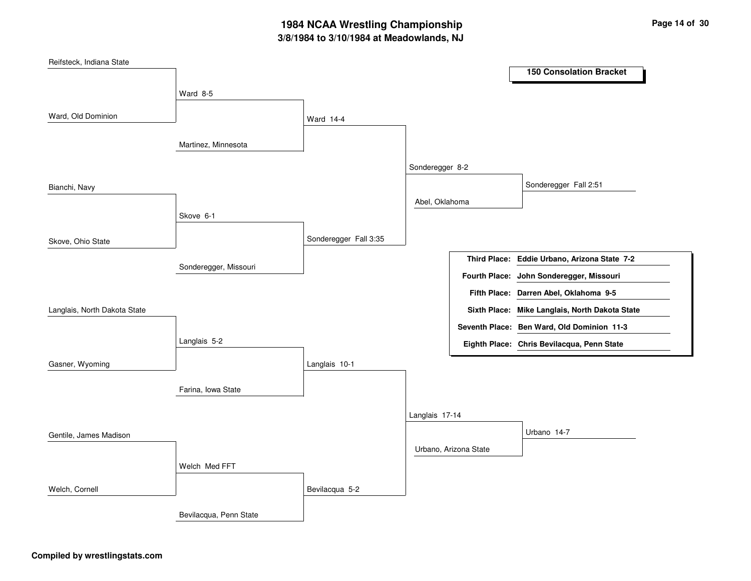## **3/8/1984 to 3/10/1984 at Meadowlands, NJ 1984 NCAA Wrestling Championship Page <sup>14</sup> of <sup>30</sup>**

| Reifsteck, Indiana State     |                        |                       |                 |                       |                                                |  |
|------------------------------|------------------------|-----------------------|-----------------|-----------------------|------------------------------------------------|--|
|                              |                        |                       |                 |                       | <b>150 Consolation Bracket</b>                 |  |
|                              | Ward 8-5               |                       |                 |                       |                                                |  |
|                              |                        |                       |                 |                       |                                                |  |
| Ward, Old Dominion           |                        | Ward 14-4             |                 |                       |                                                |  |
|                              |                        |                       |                 |                       |                                                |  |
|                              | Martinez, Minnesota    |                       |                 |                       |                                                |  |
|                              |                        |                       | Sonderegger 8-2 |                       |                                                |  |
|                              |                        |                       |                 |                       |                                                |  |
| Bianchi, Navy                |                        |                       |                 |                       | Sonderegger Fall 2:51                          |  |
|                              |                        |                       | Abel, Oklahoma  |                       |                                                |  |
|                              | Skove 6-1              |                       |                 |                       |                                                |  |
| Skove, Ohio State            |                        | Sonderegger Fall 3:35 |                 |                       |                                                |  |
|                              |                        |                       |                 |                       |                                                |  |
|                              | Sonderegger, Missouri  |                       |                 |                       | Third Place: Eddie Urbano, Arizona State 7-2   |  |
|                              |                        |                       |                 |                       | Fourth Place: John Sonderegger, Missouri       |  |
|                              |                        |                       |                 |                       | Fifth Place: Darren Abel, Oklahoma 9-5         |  |
| Langlais, North Dakota State |                        |                       |                 |                       | Sixth Place: Mike Langlais, North Dakota State |  |
|                              |                        |                       |                 |                       | Seventh Place: Ben Ward, Old Dominion 11-3     |  |
|                              | Langlais 5-2           |                       |                 |                       | Eighth Place: Chris Bevilacqua, Penn State     |  |
|                              |                        |                       |                 |                       |                                                |  |
| Gasner, Wyoming              |                        | Langlais 10-1         |                 |                       |                                                |  |
|                              |                        |                       |                 |                       |                                                |  |
|                              | Farina, Iowa State     |                       |                 |                       |                                                |  |
|                              |                        |                       | Langlais 17-14  |                       |                                                |  |
|                              |                        |                       |                 |                       |                                                |  |
| Gentile, James Madison       |                        |                       |                 |                       | Urbano 14-7                                    |  |
|                              |                        |                       |                 | Urbano, Arizona State |                                                |  |
|                              | Welch Med FFT          |                       |                 |                       |                                                |  |
| Welch, Cornell               |                        | Bevilacqua 5-2        |                 |                       |                                                |  |
|                              |                        |                       |                 |                       |                                                |  |
|                              | Bevilacqua, Penn State |                       |                 |                       |                                                |  |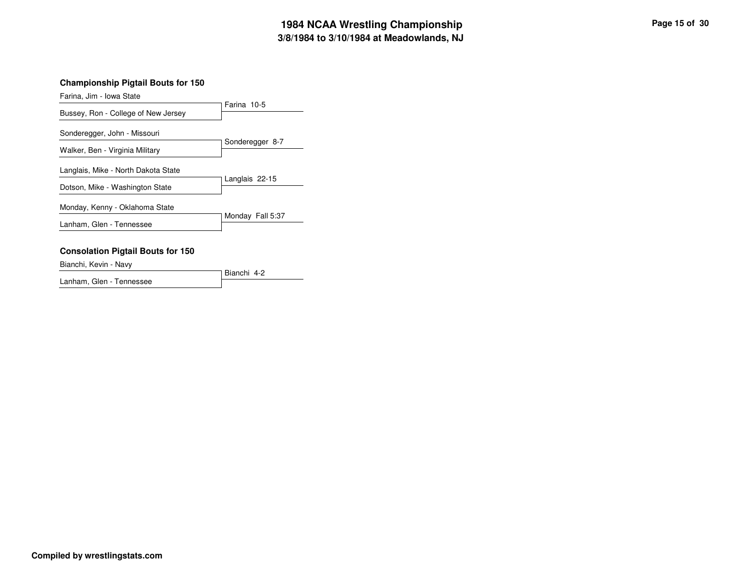## **3/8/1984 to 3/10/1984 at Meadowlands, NJ 1984 NCAA Wrestling Championship Page <sup>15</sup> of <sup>30</sup>**

### **Championship Pigtail Bouts for 150**

Farina, Jim - Iowa State

|                                                                        | Farina 10-5      |
|------------------------------------------------------------------------|------------------|
| Bussey, Ron - College of New Jersey                                    |                  |
| Sonderegger, John - Missouri<br>Walker, Ben - Virginia Military        | Sonderegger 8-7  |
| Langlais, Mike - North Dakota State<br>Dotson, Mike - Washington State | Langlais 22-15   |
| Monday, Kenny - Oklahoma State                                         | Monday Fall 5:37 |
| Lanham, Glen - Tennessee                                               |                  |
| <b>Consolation Pigtail Bouts for 150</b>                               |                  |

Bianchi, Kevin - Navy

Bianchi 4-2 Lanham, Glen - Tennessee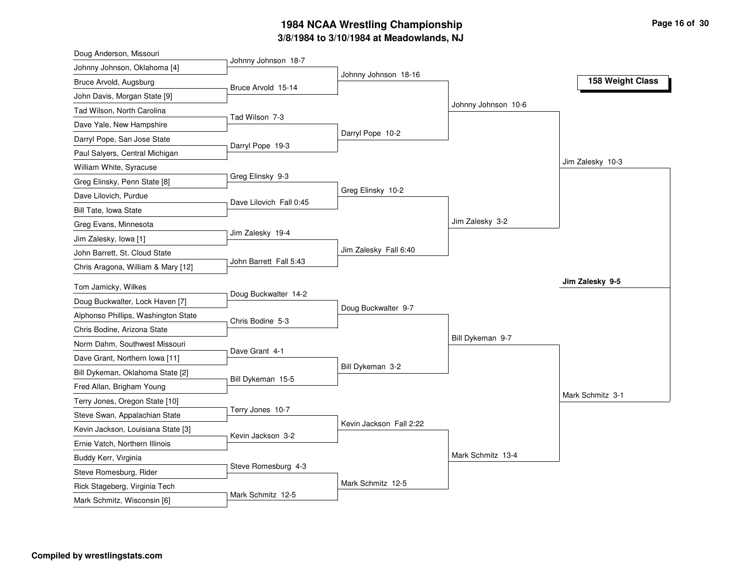## **3/8/1984 to 3/10/1984 at Meadowlands, NJ 1984 NCAA Wrestling Championship Page <sup>16</sup> of <sup>30</sup>**

| Doug Anderson, Missouri                                |                         |                         |                     |                  |
|--------------------------------------------------------|-------------------------|-------------------------|---------------------|------------------|
| Johnny Johnson, Oklahoma [4]                           | Johnny Johnson 18-7     |                         |                     |                  |
| Bruce Arvold, Augsburg                                 | Bruce Arvold 15-14      | Johnny Johnson 18-16    |                     | 158 Weight Class |
| John Davis, Morgan State [9]                           |                         |                         |                     |                  |
| Tad Wilson, North Carolina                             |                         |                         | Johnny Johnson 10-6 |                  |
| Dave Yale, New Hampshire                               | Tad Wilson 7-3          |                         |                     |                  |
| Darryl Pope, San Jose State                            |                         | Darryl Pope 10-2        |                     |                  |
| Paul Salyers, Central Michigan                         | Darryl Pope 19-3        |                         |                     |                  |
| William White, Syracuse                                |                         |                         |                     | Jim Zalesky 10-3 |
| Greg Elinsky, Penn State [8]                           | Greg Elinsky 9-3        |                         |                     |                  |
| Dave Lilovich, Purdue                                  |                         | Greg Elinsky 10-2       |                     |                  |
| Bill Tate, Iowa State                                  | Dave Lilovich Fall 0:45 |                         |                     |                  |
| Greg Evans, Minnesota                                  |                         |                         | Jim Zalesky 3-2     |                  |
| Jim Zalesky, Iowa [1]                                  | Jim Zalesky 19-4        |                         |                     |                  |
| John Barrett, St. Cloud State                          |                         | Jim Zalesky Fall 6:40   |                     |                  |
| Chris Aragona, William & Mary [12]                     | John Barrett Fall 5:43  |                         |                     |                  |
|                                                        |                         |                         |                     | Jim Zalesky 9-5  |
| Tom Jamicky, Wilkes<br>Doug Buckwalter, Lock Haven [7] | Doug Buckwalter 14-2    |                         |                     |                  |
|                                                        |                         | Doug Buckwalter 9-7     |                     |                  |
| Alphonso Phillips, Washington State                    | Chris Bodine 5-3        |                         |                     |                  |
| Chris Bodine, Arizona State                            |                         |                         | Bill Dykeman 9-7    |                  |
| Norm Dahm, Southwest Missouri                          | Dave Grant 4-1          |                         |                     |                  |
| Dave Grant, Northern Iowa [11]                         |                         | Bill Dykeman 3-2        |                     |                  |
| Bill Dykeman, Oklahoma State [2]                       | Bill Dykeman 15-5       |                         |                     |                  |
| Fred Allan, Brigham Young                              |                         |                         |                     | Mark Schmitz 3-1 |
| Terry Jones, Oregon State [10]                         | Terry Jones 10-7        |                         |                     |                  |
| Steve Swan, Appalachian State                          |                         | Kevin Jackson Fall 2:22 |                     |                  |
| Kevin Jackson, Louisiana State [3]                     | Kevin Jackson 3-2       |                         |                     |                  |
| Ernie Vatch, Northern Illinois                         |                         |                         | Mark Schmitz 13-4   |                  |
| Buddy Kerr, Virginia                                   | Steve Romesburg 4-3     |                         |                     |                  |
| Steve Romesburg, Rider                                 |                         |                         |                     |                  |
| Rick Stageberg, Virginia Tech                          | Mark Schmitz 12-5       | Mark Schmitz 12-5       |                     |                  |
| Mark Schmitz, Wisconsin [6]                            |                         |                         |                     |                  |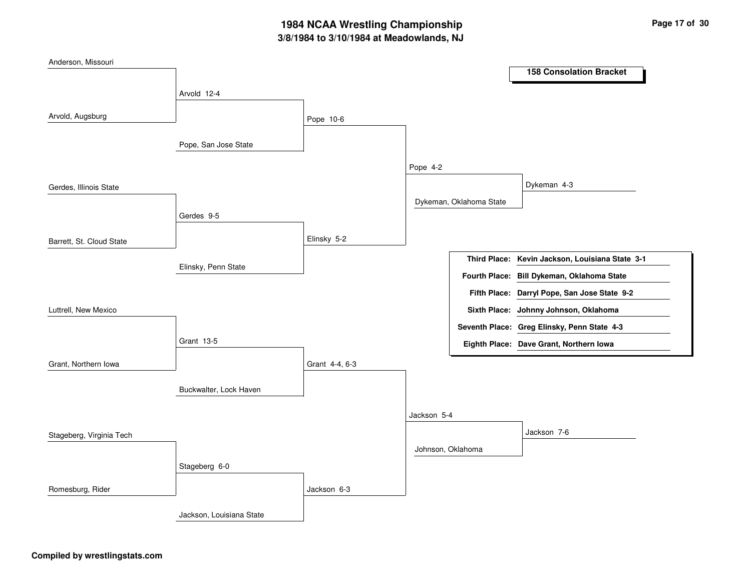## **3/8/1984 to 3/10/1984 at Meadowlands, NJ 1984 NCAA Wrestling Championship Page <sup>17</sup> of <sup>30</sup>**

| Anderson, Missouri       |                          |                |                         |                                                 |
|--------------------------|--------------------------|----------------|-------------------------|-------------------------------------------------|
|                          |                          |                |                         | <b>158 Consolation Bracket</b>                  |
|                          | Arvold 12-4              |                |                         |                                                 |
| Arvold, Augsburg         |                          | Pope 10-6      |                         |                                                 |
|                          | Pope, San Jose State     |                |                         |                                                 |
|                          |                          |                | Pope 4-2                |                                                 |
| Gerdes, Illinois State   |                          |                |                         | Dykeman 4-3                                     |
|                          |                          |                | Dykeman, Oklahoma State |                                                 |
|                          | Gerdes 9-5               |                |                         |                                                 |
| Barrett, St. Cloud State |                          | Elinsky 5-2    |                         |                                                 |
|                          |                          |                |                         | Third Place: Kevin Jackson, Louisiana State 3-1 |
|                          | Elinsky, Penn State      |                |                         | Fourth Place: Bill Dykeman, Oklahoma State      |
|                          |                          |                |                         | Fifth Place: Darryl Pope, San Jose State 9-2    |
| Luttrell, New Mexico     |                          |                |                         | Sixth Place: Johnny Johnson, Oklahoma           |
|                          |                          |                |                         | Seventh Place: Greg Elinsky, Penn State 4-3     |
|                          | Grant 13-5               |                |                         | Eighth Place: Dave Grant, Northern Iowa         |
| Grant, Northern Iowa     |                          | Grant 4-4, 6-3 |                         |                                                 |
|                          | Buckwalter, Lock Haven   |                |                         |                                                 |
|                          |                          |                | Jackson 5-4             |                                                 |
| Stageberg, Virginia Tech |                          |                |                         | Jackson 7-6                                     |
|                          |                          |                | Johnson, Oklahoma       |                                                 |
|                          | Stageberg 6-0            |                |                         |                                                 |
| Romesburg, Rider         |                          | Jackson 6-3    |                         |                                                 |
|                          | Jackson, Louisiana State |                |                         |                                                 |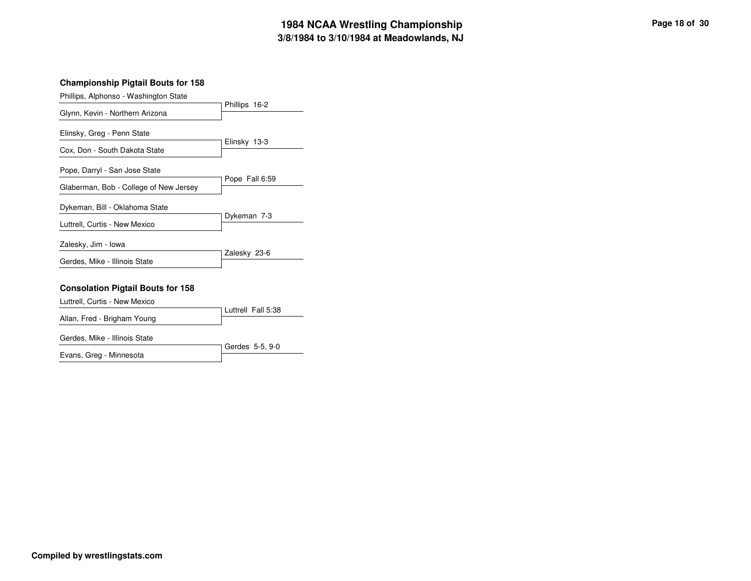## **3/8/1984 to 3/10/1984 at Meadowlands, NJ 1984 NCAA Wrestling Championship Page <sup>18</sup> of <sup>30</sup>**

#### **Championship Pigtail Bouts for 158**

| Phillips, Alphonso - Washington State    |                    |
|------------------------------------------|--------------------|
| Glynn, Kevin - Northern Arizona          | Phillips 16-2      |
|                                          |                    |
| Elinsky, Greg - Penn State               |                    |
| Cox, Don - South Dakota State            | Elinsky 13-3       |
| Pope, Darryl - San Jose State            |                    |
| Glaberman, Bob - College of New Jersey   | Pope Fall 6:59     |
| Dykeman, Bill - Oklahoma State           |                    |
| Luttrell, Curtis - New Mexico            | Dykeman 7-3        |
| Zalesky, Jim - Iowa                      |                    |
| Gerdes, Mike - Illinois State            | Zalesky 23-6       |
|                                          |                    |
| <b>Consolation Pigtail Bouts for 158</b> |                    |
| Luttrell, Curtis - New Mexico            | Luttrell Fall 5:38 |
| Allan, Fred - Brigham Young              |                    |
| Gerdes, Mike - Illinois State            |                    |

|                         | Gerdes 5-5, 9-0 |
|-------------------------|-----------------|
| Evans, Greg - Minnesota |                 |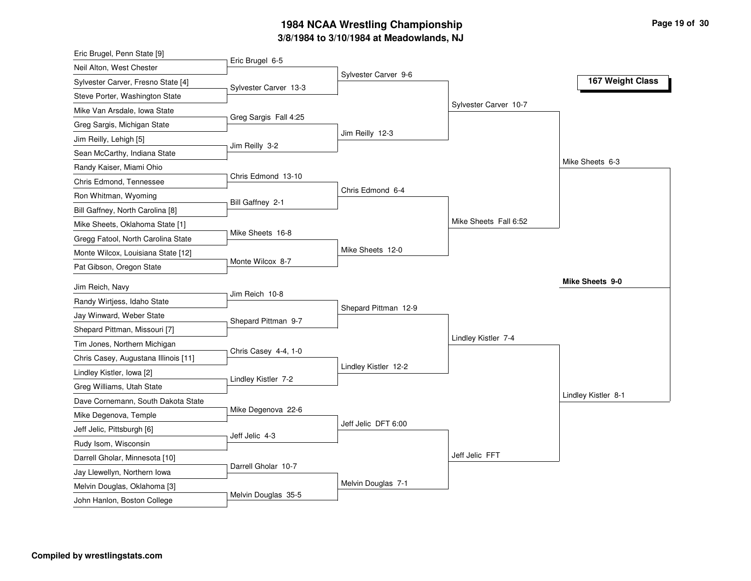### **3/8/19 8 4 to 3/10/19 8 4 at M e a d o wla n d s, N J** 1984 NCAA Wrestling Championship

| Eric Brugel, Penn State [9]          |                       |                      |                       |                     |
|--------------------------------------|-----------------------|----------------------|-----------------------|---------------------|
| Neil Alton, West Chester             | Eric Brugel 6-5       |                      |                       |                     |
| Sylvester Carver, Fresno State [4]   | Sylvester Carver 13-3 | Sylvester Carver 9-6 |                       | 167 Weight Class    |
| Steve Porter, Washington State       |                       |                      |                       |                     |
| Mike Van Arsdale, Iowa State         |                       |                      | Sylvester Carver 10-7 |                     |
| Greg Sargis, Michigan State          | Greg Sargis Fall 4:25 |                      |                       |                     |
| Jim Reilly, Lehigh [5]               |                       | Jim Reilly 12-3      |                       |                     |
| Sean McCarthy, Indiana State         | Jim Reilly 3-2        |                      |                       |                     |
| Randy Kaiser, Miami Ohio             |                       |                      |                       | Mike Sheets 6-3     |
| Chris Edmond, Tennessee              | Chris Edmond 13-10    |                      |                       |                     |
| Ron Whitman, Wyoming                 | Bill Gaffney 2-1      | Chris Edmond 6-4     |                       |                     |
| Bill Gaffney, North Carolina [8]     |                       |                      |                       |                     |
| Mike Sheets, Oklahoma State [1]      |                       |                      | Mike Sheets Fall 6:52 |                     |
| Gregg Fatool, North Carolina State   | Mike Sheets 16-8      |                      |                       |                     |
| Monte Wilcox, Louisiana State [12]   |                       | Mike Sheets 12-0     |                       |                     |
| Pat Gibson, Oregon State             | Monte Wilcox 8-7      |                      |                       |                     |
| Jim Reich, Navy                      |                       |                      |                       | Mike Sheets 9-0     |
| Randy Wirtjess, Idaho State          | Jim Reich 10-8        |                      |                       |                     |
| Jay Winward, Weber State             |                       | Shepard Pittman 12-9 |                       |                     |
| Shepard Pittman, Missouri [7]        | Shepard Pittman 9-7   |                      |                       |                     |
| Tim Jones, Northern Michigan         |                       |                      | Lindley Kistler 7-4   |                     |
| Chris Casey, Augustana Illinois [11] | Chris Casey 4-4, 1-0  |                      |                       |                     |
| Lindley Kistler, Iowa [2]            |                       | Lindley Kistler 12-2 |                       |                     |
| Greg Williams, Utah State            | Lindley Kistler 7-2   |                      |                       |                     |
| Dave Cornemann, South Dakota State   |                       |                      |                       | Lindley Kistler 8-1 |
| Mike Degenova, Temple                | Mike Degenova 22-6    |                      |                       |                     |
| Jeff Jelic, Pittsburgh [6]           |                       | Jeff Jelic DFT 6:00  |                       |                     |
| Rudy Isom, Wisconsin                 | Jeff Jelic 4-3        |                      |                       |                     |
| Darrell Gholar, Minnesota [10]       |                       |                      | Jeff Jelic FFT        |                     |
| Jay Llewellyn, Northern Iowa         |                       |                      |                       |                     |
|                                      | Darrell Gholar 10-7   |                      |                       |                     |
| Melvin Douglas, Oklahoma [3]         |                       | Melvin Douglas 7-1   |                       |                     |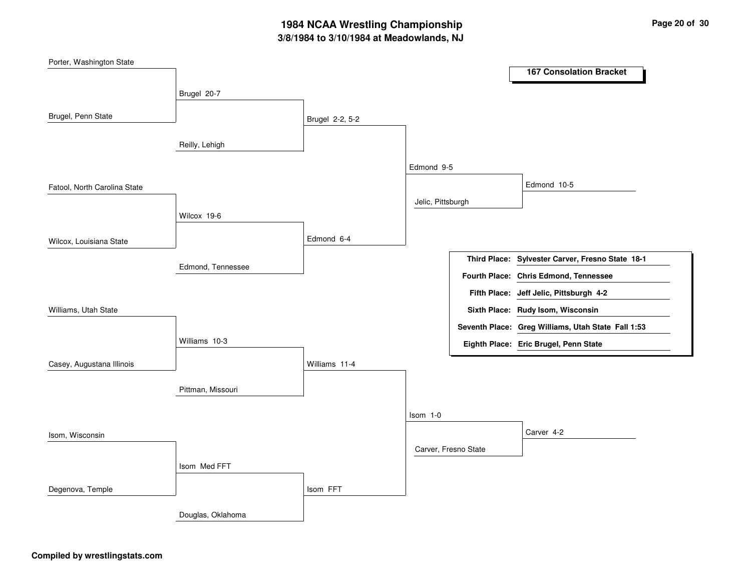## **3/8/1984 to 3/10/1984 at Meadowlands, NJ 1984 NCAA Wrestling Championship Page <sup>20</sup> of <sup>30</sup>**

| Porter, Washington State     |                   |                 |                      |                                                    |
|------------------------------|-------------------|-----------------|----------------------|----------------------------------------------------|
|                              |                   |                 |                      | <b>167 Consolation Bracket</b>                     |
|                              | Brugel 20-7       |                 |                      |                                                    |
|                              |                   |                 |                      |                                                    |
| Brugel, Penn State           |                   | Brugel 2-2, 5-2 |                      |                                                    |
|                              |                   |                 |                      |                                                    |
|                              | Reilly, Lehigh    |                 |                      |                                                    |
|                              |                   |                 | Edmond 9-5           |                                                    |
| Fatool, North Carolina State |                   |                 |                      | Edmond 10-5                                        |
|                              |                   |                 | Jelic, Pittsburgh    |                                                    |
|                              | Wilcox 19-6       |                 |                      |                                                    |
|                              |                   |                 |                      |                                                    |
| Wilcox, Louisiana State      |                   | Edmond 6-4      |                      |                                                    |
|                              |                   |                 |                      | Third Place: Sylvester Carver, Fresno State 18-1   |
|                              | Edmond, Tennessee |                 |                      | Fourth Place: Chris Edmond, Tennessee              |
|                              |                   |                 |                      | Fifth Place: Jeff Jelic, Pittsburgh 4-2            |
| Williams, Utah State         |                   |                 |                      | Sixth Place: Rudy Isom, Wisconsin                  |
|                              |                   |                 |                      |                                                    |
|                              |                   |                 |                      | Seventh Place: Greg Williams, Utah State Fall 1:53 |
|                              | Williams 10-3     |                 |                      | Eighth Place: Eric Brugel, Penn State              |
| Casey, Augustana Illinois    |                   | Williams 11-4   |                      |                                                    |
|                              |                   |                 |                      |                                                    |
|                              | Pittman, Missouri |                 |                      |                                                    |
|                              |                   |                 | $Isom 1-0$           |                                                    |
|                              |                   |                 |                      |                                                    |
| Isom, Wisconsin              |                   |                 |                      | Carver 4-2                                         |
|                              |                   |                 | Carver, Fresno State |                                                    |
|                              | Isom Med FFT      |                 |                      |                                                    |
| Degenova, Temple             |                   | Isom FFT        |                      |                                                    |
|                              |                   |                 |                      |                                                    |
|                              | Douglas, Oklahoma |                 |                      |                                                    |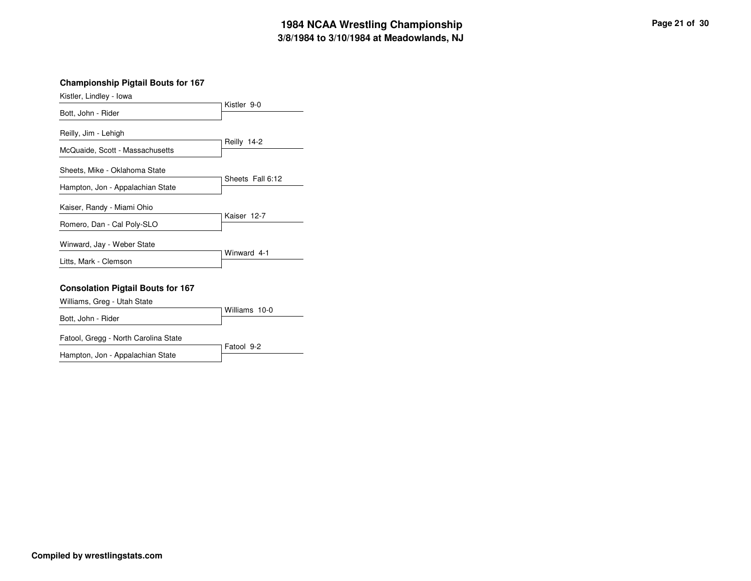### **3/8/1984 to 3/10/1984 at Meadowlands, NJ 1984 NCAA Wrestling Championship Page <sup>21</sup> of <sup>30</sup>**

| Kistler, Lindley - Iowa          |                  |
|----------------------------------|------------------|
| Bott, John - Rider               | Kistler 9-0      |
| Reilly, Jim - Lehigh             |                  |
| McQuaide, Scott - Massachusetts  | Reilly 14-2      |
| Sheets, Mike - Oklahoma State    |                  |
| Hampton, Jon - Appalachian State | Sheets Fall 6:12 |
| Kaiser, Randy - Miami Ohio       |                  |
| Romero, Dan - Cal Poly-SLO       | Kaiser 12-7      |
| Winward, Jay - Weber State       |                  |
| Litts, Mark - Clemson            | Winward 4-1      |

#### **Consolation Pigtail Bouts for 167**

| Williams, Greg - Utah State |               |  |
|-----------------------------|---------------|--|
|                             | Williams 10-0 |  |
| Bott, John - Rider          |               |  |
|                             |               |  |

Fatool, Gregg - North Carolina State

Fatool 9-2 Hampton, Jon - Appalachian State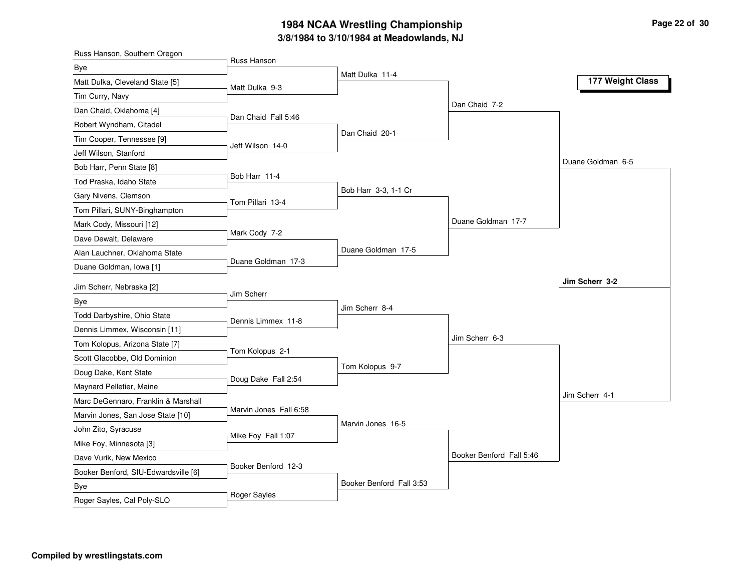## **3/8/1984 to 3/10/1984 at Meadowlands, NJ 1984 NCAA Wrestling Championship Page <sup>22</sup> of <sup>30</sup>**

| Russ Hanson<br>Bye<br>Matt Dulka 11-4<br>177 Weight Class<br>Matt Dulka, Cleveland State [5]<br>Matt Dulka 9-3<br>Tim Curry, Navy<br>Dan Chaid 7-2<br>Dan Chaid, Oklahoma [4]<br>Dan Chaid Fall 5:46<br>Robert Wyndham, Citadel<br>Dan Chaid 20-1<br>Tim Cooper, Tennessee [9]<br>Jeff Wilson 14-0<br>Jeff Wilson, Stanford<br>Duane Goldman 6-5<br>Bob Harr, Penn State [8]<br>Bob Harr 11-4<br>Tod Praska, Idaho State<br>Bob Harr 3-3, 1-1 Cr<br>Gary Nivens, Clemson<br>Tom Pillari 13-4<br>Tom Pillari, SUNY-Binghampton<br>Duane Goldman 17-7<br>Mark Cody, Missouri [12]<br>Mark Cody 7-2<br>Dave Dewalt, Delaware<br>Duane Goldman 17-5<br>Alan Lauchner, Oklahoma State<br>Duane Goldman 17-3 | Russ Hanson, Southern Oregon |  |  |
|--------------------------------------------------------------------------------------------------------------------------------------------------------------------------------------------------------------------------------------------------------------------------------------------------------------------------------------------------------------------------------------------------------------------------------------------------------------------------------------------------------------------------------------------------------------------------------------------------------------------------------------------------------------------------------------------------------|------------------------------|--|--|
|                                                                                                                                                                                                                                                                                                                                                                                                                                                                                                                                                                                                                                                                                                        |                              |  |  |
|                                                                                                                                                                                                                                                                                                                                                                                                                                                                                                                                                                                                                                                                                                        |                              |  |  |
|                                                                                                                                                                                                                                                                                                                                                                                                                                                                                                                                                                                                                                                                                                        |                              |  |  |
|                                                                                                                                                                                                                                                                                                                                                                                                                                                                                                                                                                                                                                                                                                        |                              |  |  |
|                                                                                                                                                                                                                                                                                                                                                                                                                                                                                                                                                                                                                                                                                                        |                              |  |  |
|                                                                                                                                                                                                                                                                                                                                                                                                                                                                                                                                                                                                                                                                                                        |                              |  |  |
|                                                                                                                                                                                                                                                                                                                                                                                                                                                                                                                                                                                                                                                                                                        |                              |  |  |
|                                                                                                                                                                                                                                                                                                                                                                                                                                                                                                                                                                                                                                                                                                        |                              |  |  |
|                                                                                                                                                                                                                                                                                                                                                                                                                                                                                                                                                                                                                                                                                                        |                              |  |  |
|                                                                                                                                                                                                                                                                                                                                                                                                                                                                                                                                                                                                                                                                                                        |                              |  |  |
|                                                                                                                                                                                                                                                                                                                                                                                                                                                                                                                                                                                                                                                                                                        |                              |  |  |
|                                                                                                                                                                                                                                                                                                                                                                                                                                                                                                                                                                                                                                                                                                        |                              |  |  |
|                                                                                                                                                                                                                                                                                                                                                                                                                                                                                                                                                                                                                                                                                                        |                              |  |  |
|                                                                                                                                                                                                                                                                                                                                                                                                                                                                                                                                                                                                                                                                                                        |                              |  |  |
|                                                                                                                                                                                                                                                                                                                                                                                                                                                                                                                                                                                                                                                                                                        | Duane Goldman, Iowa [1]      |  |  |
| Jim Scherr 3-2<br>Jim Scherr, Nebraska [2]                                                                                                                                                                                                                                                                                                                                                                                                                                                                                                                                                                                                                                                             |                              |  |  |
| Jim Scherr<br>Bye                                                                                                                                                                                                                                                                                                                                                                                                                                                                                                                                                                                                                                                                                      |                              |  |  |
| Jim Scherr 8-4<br>Todd Darbyshire, Ohio State                                                                                                                                                                                                                                                                                                                                                                                                                                                                                                                                                                                                                                                          |                              |  |  |
| Dennis Limmex 11-8<br>Dennis Limmex, Wisconsin [11]                                                                                                                                                                                                                                                                                                                                                                                                                                                                                                                                                                                                                                                    |                              |  |  |
| Jim Scherr 6-3<br>Tom Kolopus, Arizona State [7]                                                                                                                                                                                                                                                                                                                                                                                                                                                                                                                                                                                                                                                       |                              |  |  |
| Tom Kolopus 2-1<br>Scott Glacobbe, Old Dominion                                                                                                                                                                                                                                                                                                                                                                                                                                                                                                                                                                                                                                                        |                              |  |  |
| Tom Kolopus 9-7<br>Doug Dake, Kent State                                                                                                                                                                                                                                                                                                                                                                                                                                                                                                                                                                                                                                                               |                              |  |  |
| Doug Dake Fall 2:54                                                                                                                                                                                                                                                                                                                                                                                                                                                                                                                                                                                                                                                                                    |                              |  |  |
| Maynard Pelletier, Maine<br>Jim Scherr 4-1                                                                                                                                                                                                                                                                                                                                                                                                                                                                                                                                                                                                                                                             |                              |  |  |
| Marc DeGennaro, Franklin & Marshall<br>Marvin Jones Fall 6:58                                                                                                                                                                                                                                                                                                                                                                                                                                                                                                                                                                                                                                          |                              |  |  |
| Marvin Jones, San Jose State [10]<br>Marvin Jones 16-5<br>John Zito, Syracuse                                                                                                                                                                                                                                                                                                                                                                                                                                                                                                                                                                                                                          |                              |  |  |
| Mike Foy Fall 1:07                                                                                                                                                                                                                                                                                                                                                                                                                                                                                                                                                                                                                                                                                     |                              |  |  |
| Mike Foy, Minnesota [3]<br>Booker Benford Fall 5:46                                                                                                                                                                                                                                                                                                                                                                                                                                                                                                                                                                                                                                                    |                              |  |  |
| Dave Vurik, New Mexico<br>Booker Benford 12-3                                                                                                                                                                                                                                                                                                                                                                                                                                                                                                                                                                                                                                                          |                              |  |  |
| Booker Benford, SIU-Edwardsville [6]<br>Booker Benford Fall 3:53                                                                                                                                                                                                                                                                                                                                                                                                                                                                                                                                                                                                                                       |                              |  |  |
| <b>Bye</b><br>Roger Sayles<br>Roger Sayles, Cal Poly-SLO                                                                                                                                                                                                                                                                                                                                                                                                                                                                                                                                                                                                                                               |                              |  |  |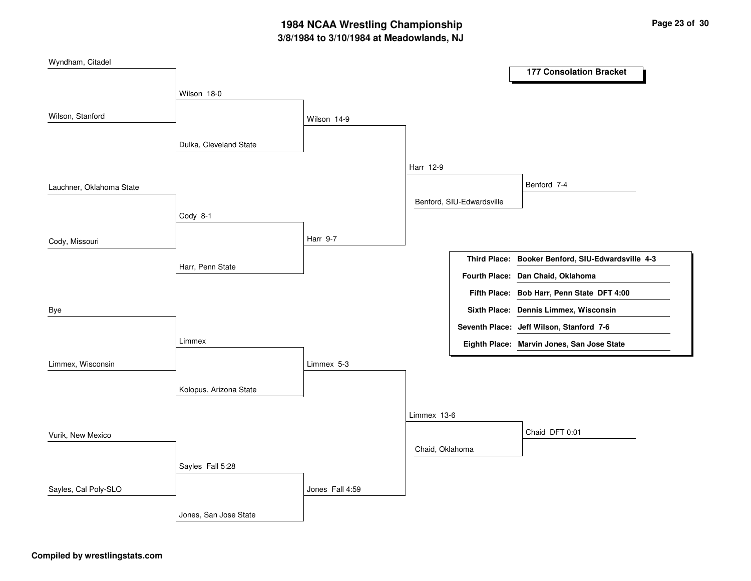## **3/8/1984 to 3/10/1984 at Meadowlands, NJ 1984 NCAA Wrestling Championship Page <sup>23</sup> of <sup>30</sup>**

| Wyndham, Citadel         |                        |                 |                 |                           |                                                   |
|--------------------------|------------------------|-----------------|-----------------|---------------------------|---------------------------------------------------|
|                          |                        |                 |                 |                           | <b>177 Consolation Bracket</b>                    |
|                          | Wilson 18-0            |                 |                 |                           |                                                   |
| Wilson, Stanford         |                        | Wilson 14-9     |                 |                           |                                                   |
|                          | Dulka, Cleveland State |                 |                 |                           |                                                   |
|                          |                        |                 | Harr 12-9       |                           |                                                   |
| Lauchner, Oklahoma State |                        |                 |                 |                           | Benford 7-4                                       |
|                          |                        |                 |                 | Benford, SIU-Edwardsville |                                                   |
|                          | Cody 8-1               |                 |                 |                           |                                                   |
| Cody, Missouri           |                        | Harr 9-7        |                 |                           |                                                   |
|                          | Harr, Penn State       |                 |                 |                           | Third Place: Booker Benford, SIU-Edwardsville 4-3 |
|                          |                        |                 |                 |                           | Fourth Place: Dan Chaid, Oklahoma                 |
|                          |                        |                 |                 |                           | Fifth Place: Bob Harr, Penn State DFT 4:00        |
| Bye                      |                        |                 |                 |                           | Sixth Place: Dennis Limmex, Wisconsin             |
|                          |                        |                 |                 |                           | Seventh Place: Jeff Wilson, Stanford 7-6          |
|                          | Limmex                 |                 |                 |                           | Eighth Place: Marvin Jones, San Jose State        |
| Limmex, Wisconsin        |                        | Limmex 5-3      |                 |                           |                                                   |
|                          | Kolopus, Arizona State |                 |                 |                           |                                                   |
|                          |                        |                 | Limmex 13-6     |                           |                                                   |
| Vurik, New Mexico        |                        |                 |                 |                           | Chaid DFT 0:01                                    |
|                          |                        |                 | Chaid, Oklahoma |                           |                                                   |
|                          | Sayles Fall 5:28       |                 |                 |                           |                                                   |
| Sayles, Cal Poly-SLO     |                        | Jones Fall 4:59 |                 |                           |                                                   |
|                          | Jones, San Jose State  |                 |                 |                           |                                                   |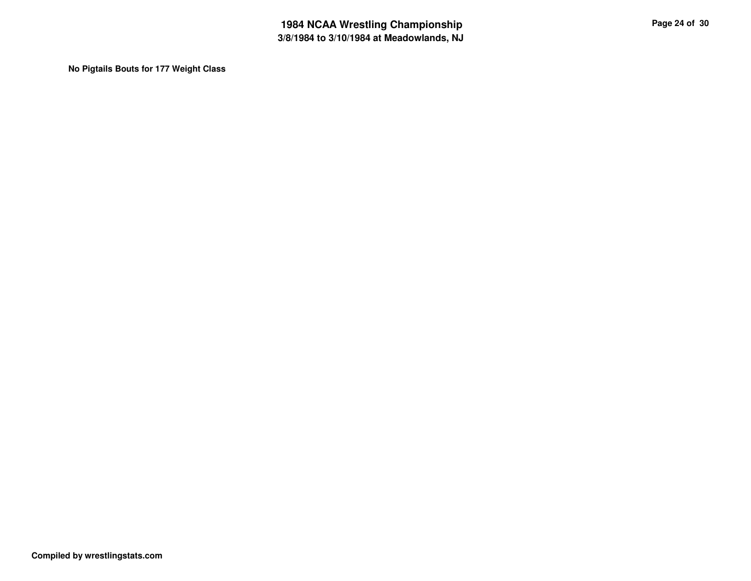**No Pigtails Bouts for 177 Weight Class**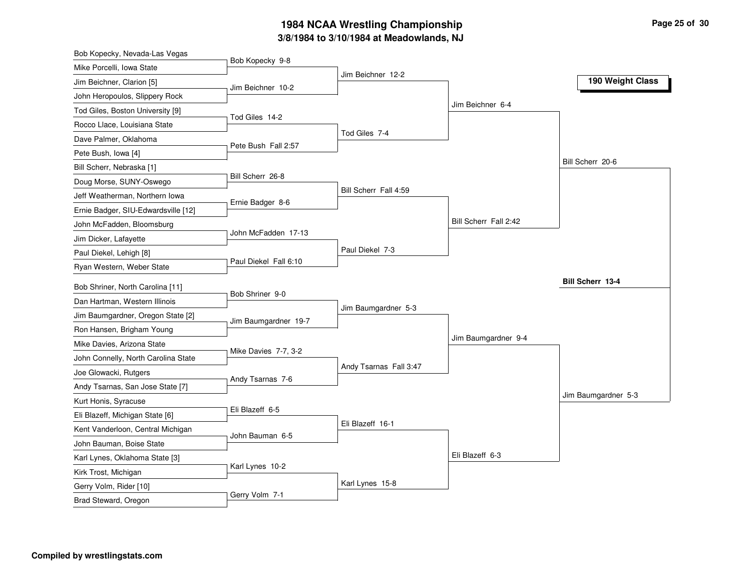### **3/8/1984 to 3/10/1984 at Meadowlands, NJ 1984 NCAA Wrestling Championship Page <sup>25</sup> of <sup>30</sup>**

| Bob Kopecky, Nevada-Las Vegas                                        |                       |                        |                       |                         |
|----------------------------------------------------------------------|-----------------------|------------------------|-----------------------|-------------------------|
| Mike Porcelli, Iowa State                                            | Bob Kopecky 9-8       |                        |                       |                         |
| Jim Beichner, Clarion [5]                                            | Jim Beichner 10-2     | Jim Beichner 12-2      |                       | 190 Weight Class        |
| John Heropoulos, Slippery Rock                                       |                       |                        |                       |                         |
| Tod Giles, Boston University [9]                                     |                       |                        | Jim Beichner 6-4      |                         |
| Rocco Llace, Louisiana State                                         | Tod Giles 14-2        |                        |                       |                         |
| Dave Palmer, Oklahoma                                                |                       | Tod Giles 7-4          |                       |                         |
| Pete Bush, Iowa [4]                                                  | Pete Bush Fall 2:57   |                        |                       |                         |
| Bill Scherr, Nebraska [1]                                            |                       |                        |                       | Bill Scherr 20-6        |
| Doug Morse, SUNY-Oswego                                              | Bill Scherr 26-8      |                        |                       |                         |
| Jeff Weatherman, Northern Iowa                                       |                       | Bill Scherr Fall 4:59  |                       |                         |
| Ernie Badger, SIU-Edwardsville [12]                                  | Ernie Badger 8-6      |                        |                       |                         |
| John McFadden, Bloomsburg                                            |                       |                        | Bill Scherr Fall 2:42 |                         |
| Jim Dicker, Lafayette                                                | John McFadden 17-13   |                        |                       |                         |
| Paul Diekel, Lehigh [8]                                              |                       | Paul Diekel 7-3        |                       |                         |
| Ryan Western, Weber State                                            | Paul Diekel Fall 6:10 |                        |                       |                         |
| Bob Shriner, North Carolina [11]                                     |                       |                        |                       | <b>Bill Scherr 13-4</b> |
| Dan Hartman, Western Illinois                                        | Bob Shriner 9-0       |                        |                       |                         |
| Jim Baumgardner, Oregon State [2]                                    |                       | Jim Baumgardner 5-3    |                       |                         |
| Ron Hansen, Brigham Young                                            | Jim Baumgardner 19-7  |                        |                       |                         |
| Mike Davies, Arizona State                                           |                       |                        | Jim Baumgardner 9-4   |                         |
|                                                                      | Mike Davies 7-7, 3-2  |                        |                       |                         |
| John Connelly, North Carolina State                                  |                       | Andy Tsarnas Fall 3:47 |                       |                         |
| Joe Glowacki, Rutgers                                                | Andy Tsarnas 7-6      |                        |                       |                         |
| Andy Tsarnas, San Jose State [7]                                     |                       |                        |                       | Jim Baumgardner 5-3     |
| Kurt Honis, Syracuse                                                 | Eli Blazeff 6-5       |                        |                       |                         |
| Eli Blazeff, Michigan State [6]<br>Kent Vanderloon, Central Michigan |                       | Eli Blazeff 16-1       |                       |                         |
|                                                                      |                       |                        |                       |                         |
|                                                                      | John Bauman 6-5       |                        |                       |                         |
| John Bauman, Boise State                                             |                       |                        |                       |                         |
| Karl Lynes, Oklahoma State [3]                                       | Karl Lynes 10-2       |                        | Eli Blazeff 6-3       |                         |
| Kirk Trost, Michigan                                                 |                       |                        |                       |                         |
| Gerry Volm, Rider [10]<br>Brad Steward, Oregon                       | Gerry Volm 7-1        | Karl Lynes 15-8        |                       |                         |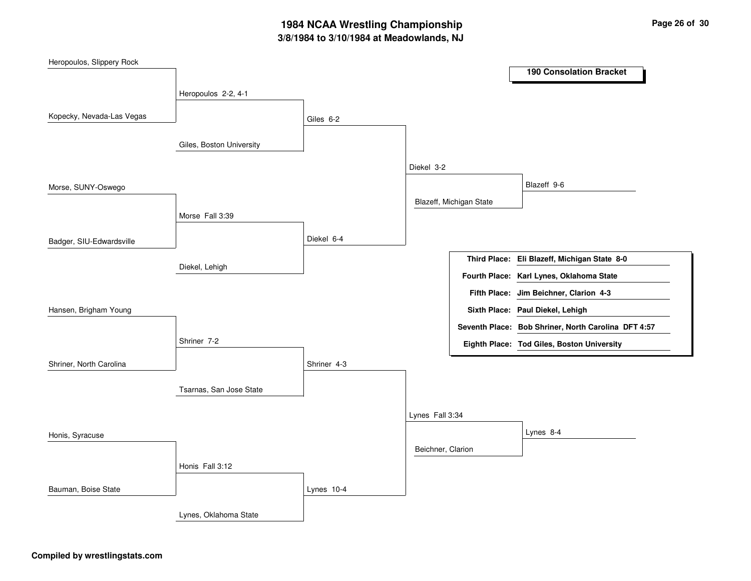## **3/8/1984 to 3/10/1984 at Meadowlands, NJ 1984 NCAA Wrestling Championship Page <sup>26</sup> of <sup>30</sup>**

| Heropoulos, Slippery Rock |                          |             |                   |                         |                                                     |
|---------------------------|--------------------------|-------------|-------------------|-------------------------|-----------------------------------------------------|
|                           |                          |             |                   |                         | <b>190 Consolation Bracket</b>                      |
|                           | Heropoulos 2-2, 4-1      |             |                   |                         |                                                     |
|                           |                          |             |                   |                         |                                                     |
| Kopecky, Nevada-Las Vegas |                          | Giles 6-2   |                   |                         |                                                     |
|                           |                          |             |                   |                         |                                                     |
|                           | Giles, Boston University |             |                   |                         |                                                     |
|                           |                          |             | Diekel 3-2        |                         |                                                     |
| Morse, SUNY-Oswego        |                          |             |                   |                         | Blazeff 9-6                                         |
|                           |                          |             |                   | Blazeff, Michigan State |                                                     |
|                           | Morse Fall 3:39          |             |                   |                         |                                                     |
|                           |                          |             |                   |                         |                                                     |
| Badger, SIU-Edwardsville  |                          | Diekel 6-4  |                   |                         |                                                     |
|                           |                          |             |                   |                         | Third Place: Eli Blazeff, Michigan State 8-0        |
|                           | Diekel, Lehigh           |             |                   |                         | Fourth Place: Karl Lynes, Oklahoma State            |
|                           |                          |             |                   |                         | Fifth Place: Jim Beichner, Clarion 4-3              |
| Hansen, Brigham Young     |                          |             |                   |                         | Sixth Place: Paul Diekel, Lehigh                    |
|                           |                          |             |                   |                         |                                                     |
|                           | Shriner 7-2              |             |                   |                         | Seventh Place: Bob Shriner, North Carolina DFT 4:57 |
|                           |                          |             |                   |                         | Eighth Place: Tod Giles, Boston University          |
| Shriner, North Carolina   |                          | Shriner 4-3 |                   |                         |                                                     |
|                           |                          |             |                   |                         |                                                     |
|                           | Tsarnas, San Jose State  |             |                   |                         |                                                     |
|                           |                          |             | Lynes Fall 3:34   |                         |                                                     |
|                           |                          |             |                   |                         | Lynes 8-4                                           |
| Honis, Syracuse           |                          |             |                   |                         |                                                     |
|                           |                          |             | Beichner, Clarion |                         |                                                     |
|                           | Honis Fall 3:12          |             |                   |                         |                                                     |
| Bauman, Boise State       |                          | Lynes 10-4  |                   |                         |                                                     |
|                           |                          |             |                   |                         |                                                     |
|                           | Lynes, Oklahoma State    |             |                   |                         |                                                     |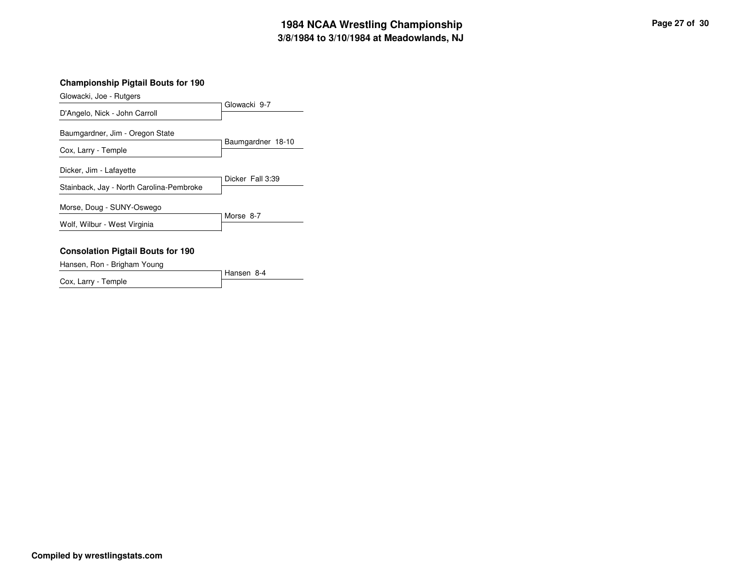## **3/8/1984 to 3/10/1984 at Meadowlands, NJ 1984 NCAA Wrestling Championship Page <sup>27</sup> of <sup>30</sup>**

### **Championship Pigtail Bouts for 190**

Glowacki, Joe - Rutgers

|                                                                     | Glowacki 9-7      |  |  |
|---------------------------------------------------------------------|-------------------|--|--|
| D'Angelo, Nick - John Carroll                                       |                   |  |  |
| Baumgardner, Jim - Oregon State                                     |                   |  |  |
| Cox, Larry - Temple                                                 | Baumgardner 18-10 |  |  |
| Dicker, Jim - Lafayette<br>Stainback, Jay - North Carolina-Pembroke | Dicker Fall 3:39  |  |  |
| Morse, Doug - SUNY-Oswego                                           | Morse 8-7         |  |  |
| Wolf, Wilbur - West Virginia                                        |                   |  |  |
| <b>Consolation Pigtail Bouts for 190</b>                            |                   |  |  |

Hansen, Ron - Brigham Young

Hansen 8-4 Cox, Larry - Temple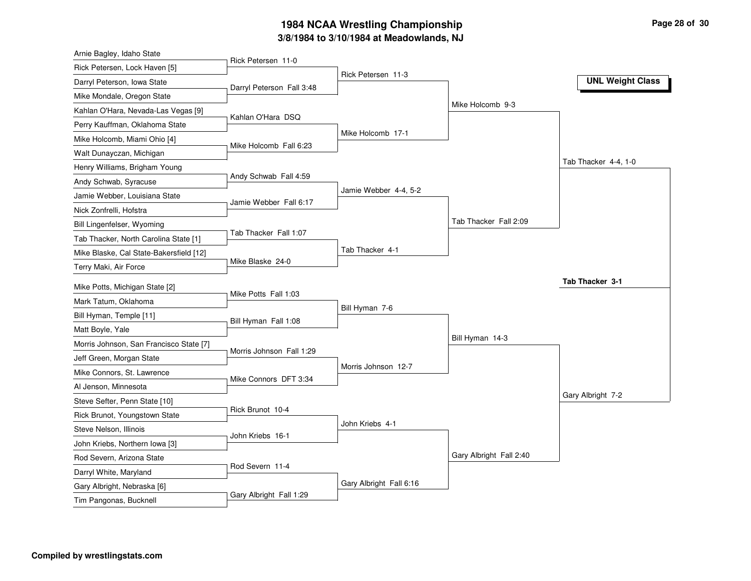## **3/8/1984 to 3/10/1984 at Meadowlands, NJ 1984 NCAA Wrestling Championship Page <sup>28</sup> of <sup>30</sup>**

| Arnie Bagley, Idaho State                             |                           |                         |                         |                         |
|-------------------------------------------------------|---------------------------|-------------------------|-------------------------|-------------------------|
| Rick Petersen, Lock Haven [5]                         | Rick Petersen 11-0        |                         |                         |                         |
| Darryl Peterson, Iowa State                           | Darryl Peterson Fall 3:48 | Rick Petersen 11-3      |                         | <b>UNL Weight Class</b> |
| Mike Mondale, Oregon State                            |                           |                         |                         |                         |
| Kahlan O'Hara, Nevada-Las Vegas [9]                   |                           |                         | Mike Holcomb 9-3        |                         |
| Perry Kauffman, Oklahoma State                        | Kahlan O'Hara DSQ         |                         |                         |                         |
| Mike Holcomb, Miami Ohio [4]                          |                           | Mike Holcomb 17-1       |                         |                         |
| Walt Dunayczan, Michigan                              | Mike Holcomb Fall 6:23    |                         |                         |                         |
| Henry Williams, Brigham Young                         |                           |                         |                         | Tab Thacker 4-4, 1-0    |
| Andy Schwab, Syracuse                                 | Andy Schwab Fall 4:59     |                         |                         |                         |
| Jamie Webber, Louisiana State                         |                           | Jamie Webber 4-4, 5-2   |                         |                         |
| Nick Zonfrelli, Hofstra                               | Jamie Webber Fall 6:17    |                         |                         |                         |
| Bill Lingenfelser, Wyoming                            |                           |                         | Tab Thacker Fall 2:09   |                         |
| Tab Thacker, North Carolina State [1]                 | Tab Thacker Fall 1:07     |                         |                         |                         |
| Mike Blaske, Cal State-Bakersfield [12]               |                           | Tab Thacker 4-1         |                         |                         |
| Terry Maki, Air Force                                 | Mike Blaske 24-0          |                         |                         |                         |
|                                                       |                           |                         |                         |                         |
|                                                       |                           |                         |                         | Tab Thacker 3-1         |
| Mike Potts, Michigan State [2]                        | Mike Potts Fall 1:03      |                         |                         |                         |
| Mark Tatum, Oklahoma                                  |                           | Bill Hyman 7-6          |                         |                         |
| Bill Hyman, Temple [11]                               | Bill Hyman Fall 1:08      |                         |                         |                         |
| Matt Boyle, Yale                                      |                           |                         | Bill Hyman 14-3         |                         |
| Morris Johnson, San Francisco State [7]               | Morris Johnson Fall 1:29  |                         |                         |                         |
| Jeff Green, Morgan State                              |                           | Morris Johnson 12-7     |                         |                         |
| Mike Connors, St. Lawrence                            | Mike Connors DFT 3:34     |                         |                         |                         |
| Al Jenson, Minnesota                                  |                           |                         |                         | Gary Albright 7-2       |
| Steve Sefter, Penn State [10]                         | Rick Brunot 10-4          |                         |                         |                         |
| Rick Brunot, Youngstown State                         |                           | John Kriebs 4-1         |                         |                         |
| Steve Nelson, Illinois                                | John Kriebs 16-1          |                         |                         |                         |
| John Kriebs, Northern Iowa [3]                        |                           |                         | Gary Albright Fall 2:40 |                         |
| Rod Severn, Arizona State                             | Rod Severn 11-4           |                         |                         |                         |
| Darryl White, Maryland<br>Gary Albright, Nebraska [6] |                           | Gary Albright Fall 6:16 |                         |                         |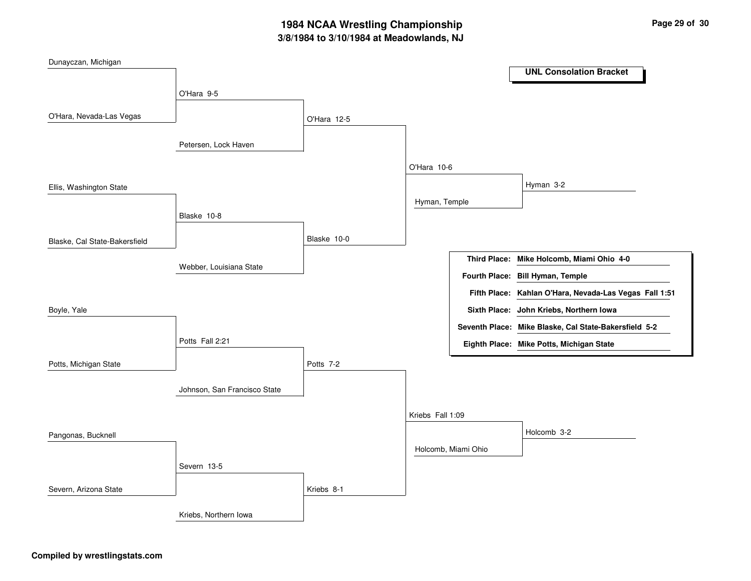## **3/8/1984 to 3/10/1984 at Meadowlands, NJ 1984 NCAA Wrestling Championship Page <sup>29</sup> of <sup>30</sup>**

| Dunayczan, Michigan           |                              |             |                  |                     |                                                        |
|-------------------------------|------------------------------|-------------|------------------|---------------------|--------------------------------------------------------|
|                               |                              |             |                  |                     | <b>UNL Consolation Bracket</b>                         |
|                               | O'Hara 9-5                   |             |                  |                     |                                                        |
|                               |                              |             |                  |                     |                                                        |
| O'Hara, Nevada-Las Vegas      |                              | O'Hara 12-5 |                  |                     |                                                        |
|                               | Petersen, Lock Haven         |             |                  |                     |                                                        |
|                               |                              |             | O'Hara 10-6      |                     |                                                        |
| Ellis, Washington State       |                              |             |                  |                     | Hyman 3-2                                              |
|                               |                              |             | Hyman, Temple    |                     |                                                        |
|                               | Blaske 10-8                  |             |                  |                     |                                                        |
| Blaske, Cal State-Bakersfield |                              | Blaske 10-0 |                  |                     |                                                        |
|                               |                              |             |                  |                     | Third Place: Mike Holcomb, Miami Ohio 4-0              |
|                               | Webber, Louisiana State      |             |                  |                     | Fourth Place: Bill Hyman, Temple                       |
|                               |                              |             |                  |                     | Fifth Place: Kahlan O'Hara, Nevada-Las Vegas Fall 1:51 |
| Boyle, Yale                   |                              |             |                  |                     | Sixth Place: John Kriebs, Northern Iowa                |
|                               |                              |             |                  |                     |                                                        |
|                               |                              |             |                  |                     | Seventh Place: Mike Blaske, Cal State-Bakersfield 5-2  |
|                               | Potts Fall 2:21              |             |                  |                     | Eighth Place: Mike Potts, Michigan State               |
| Potts, Michigan State         |                              | Potts 7-2   |                  |                     |                                                        |
|                               |                              |             |                  |                     |                                                        |
|                               | Johnson, San Francisco State |             |                  |                     |                                                        |
|                               |                              |             | Kriebs Fall 1:09 |                     |                                                        |
| Pangonas, Bucknell            |                              |             |                  |                     | Holcomb 3-2                                            |
|                               |                              |             |                  | Holcomb, Miami Ohio |                                                        |
|                               | Severn 13-5                  |             |                  |                     |                                                        |
|                               |                              |             |                  |                     |                                                        |
| Severn, Arizona State         |                              | Kriebs 8-1  |                  |                     |                                                        |
|                               | Kriebs, Northern Iowa        |             |                  |                     |                                                        |